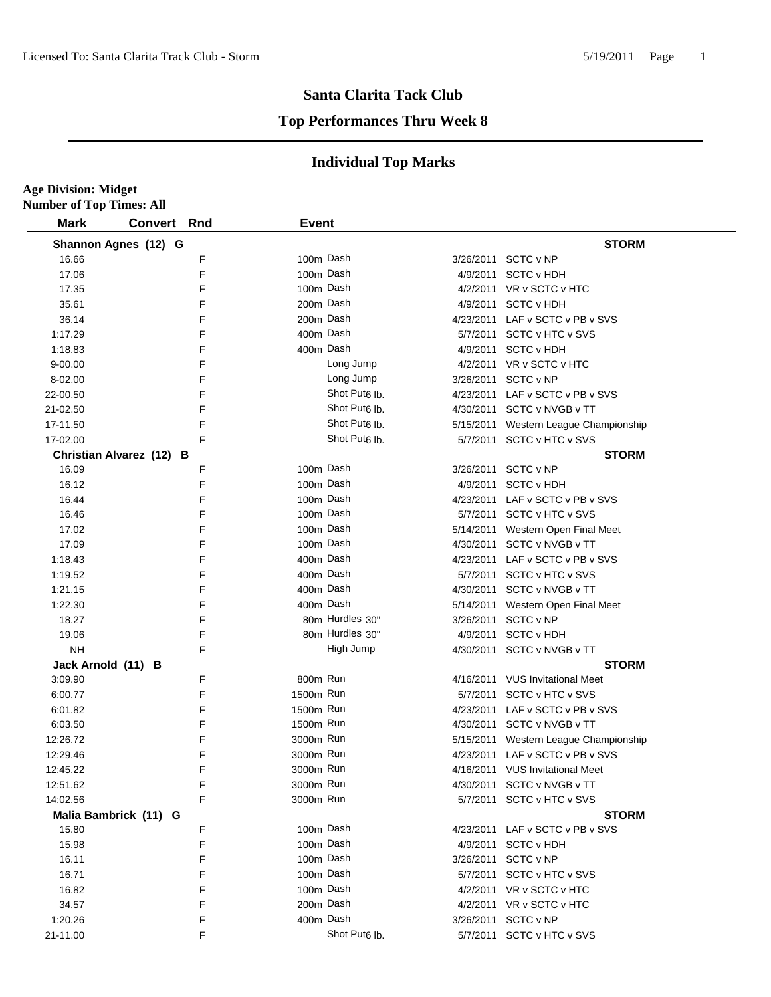**Age Division: Midget**

#### **Santa Clarita Tack Club**

#### **Top Performances Thru Week 8**

| <b>Mark</b>        | <b>Convert Rnd</b>       |   | <b>Event</b> |                           |           |                                       |
|--------------------|--------------------------|---|--------------|---------------------------|-----------|---------------------------------------|
|                    | Shannon Agnes (12) G     |   |              |                           |           | <b>STORM</b>                          |
| 16.66              |                          | F |              | 100m Dash                 |           | 3/26/2011 SCTC v NP                   |
| 17.06              |                          | F |              | 100m Dash                 |           | 4/9/2011 SCTC v HDH                   |
| 17.35              |                          | F |              | 100m Dash                 |           | 4/2/2011 VR v SCTC v HTC              |
| 35.61              |                          | F |              | 200m Dash                 |           | 4/9/2011 SCTC v HDH                   |
| 36.14              |                          | F |              | 200m Dash                 |           | 4/23/2011 LAF v SCTC v PB v SVS       |
| 1:17.29            |                          | F |              | 400m Dash                 |           | 5/7/2011 SCTC v HTC v SVS             |
| 1:18.83            |                          | F |              | 400m Dash                 |           | 4/9/2011 SCTC v HDH                   |
| $9 - 00.00$        |                          | F |              | Long Jump                 |           | 4/2/2011 VR v SCTC v HTC              |
| 8-02.00            |                          | F |              | Long Jump                 |           | 3/26/2011 SCTC v NP                   |
| 22-00.50           |                          | F |              | Shot Put <sub>6</sub> lb. |           | 4/23/2011 LAF v SCTC v PB v SVS       |
| 21-02.50           |                          | F |              | Shot Put <sub>6</sub> lb. |           | 4/30/2011 SCTC v NVGB v TT            |
| 17-11.50           |                          | F |              | Shot Put <sub>6</sub> lb. |           | 5/15/2011 Western League Championship |
| 17-02.00           |                          | F |              | Shot Put <sub>6</sub> lb. |           | 5/7/2011 SCTC v HTC v SVS             |
|                    | Christian Alvarez (12) B |   |              |                           |           | <b>STORM</b>                          |
| 16.09              |                          | F |              | 100m Dash                 |           | 3/26/2011 SCTC v NP                   |
| 16.12              |                          | F |              | 100m Dash                 |           | 4/9/2011 SCTC v HDH                   |
| 16.44              |                          | F |              | 100m Dash                 |           | 4/23/2011 LAF v SCTC v PB v SVS       |
| 16.46              |                          | F |              | 100m Dash                 |           | 5/7/2011 SCTC v HTC v SVS             |
| 17.02              |                          | F |              | 100m Dash                 |           | 5/14/2011 Western Open Final Meet     |
| 17.09              |                          | F |              | 100m Dash                 |           | 4/30/2011 SCTC v NVGB v TT            |
| 1:18.43            |                          | F |              | 400m Dash                 |           | 4/23/2011 LAF v SCTC v PB v SVS       |
| 1:19.52            |                          | F |              | 400m Dash                 |           | 5/7/2011 SCTC v HTC v SVS             |
| 1:21.15            |                          | F |              | 400m Dash                 |           | 4/30/2011 SCTC v NVGB v TT            |
| 1:22.30            |                          | F |              | 400m Dash                 |           | 5/14/2011 Western Open Final Meet     |
| 18.27              |                          | F |              | 80m Hurdles 30"           | 3/26/2011 | SCTC v NP                             |
| 19.06              |                          | F |              | 80m Hurdles 30"           |           | 4/9/2011 SCTC v HDH                   |
| <b>NH</b>          |                          | F |              | High Jump                 |           | 4/30/2011 SCTC v NVGB v TT            |
| Jack Arnold (11) B |                          |   |              |                           |           | <b>STORM</b>                          |
| 3:09.90            |                          | F | 800m Run     |                           |           | 4/16/2011 VUS Invitational Meet       |
| 6:00.77            |                          | F | 1500m Run    |                           |           | 5/7/2011 SCTC v HTC v SVS             |
| 6:01.82            |                          | F | 1500m Run    |                           |           | 4/23/2011 LAF v SCTC v PB v SVS       |
| 6:03.50            |                          | F | 1500m Run    |                           |           | 4/30/2011 SCTC v NVGB v TT            |
| 12:26.72           |                          | F | 3000m Run    |                           |           | 5/15/2011 Western League Championship |
| 12:29.46           |                          | F | 3000m Run    |                           |           | 4/23/2011 LAF v SCTC v PB v SVS       |
| 12:45.22           |                          | F | 3000m Run    |                           |           | 4/16/2011 VUS Invitational Meet       |
| 12:51.62           |                          | F | 3000m Run    |                           |           | 4/30/2011 SCTC v NVGB v TT            |
| 14:02.56           |                          | F | 3000m Run    |                           |           | 5/7/2011 SCTC v HTC v SVS             |
|                    | Malia Bambrick (11) G    |   |              |                           |           | <b>STORM</b>                          |
| 15.80              |                          | F |              | 100m Dash                 |           | 4/23/2011 LAF v SCTC v PB v SVS       |
| 15.98              |                          | F |              | 100m Dash                 |           | 4/9/2011 SCTC v HDH                   |
| 16.11              |                          | F |              | 100m Dash                 |           | 3/26/2011 SCTC v NP                   |
| 16.71              |                          | F |              | 100m Dash                 |           | 5/7/2011 SCTC v HTC v SVS             |
| 16.82              |                          | F |              | 100m Dash                 |           | 4/2/2011 VR v SCTC v HTC              |
| 34.57              |                          | F |              | 200m Dash                 |           | 4/2/2011 VR v SCTC v HTC              |
| 1:20.26            |                          | F |              | 400m Dash                 |           | 3/26/2011 SCTC v NP                   |
| 21-11.00           |                          | F |              | Shot Put <sub>6</sub> lb. |           | 5/7/2011 SCTC v HTC v SVS             |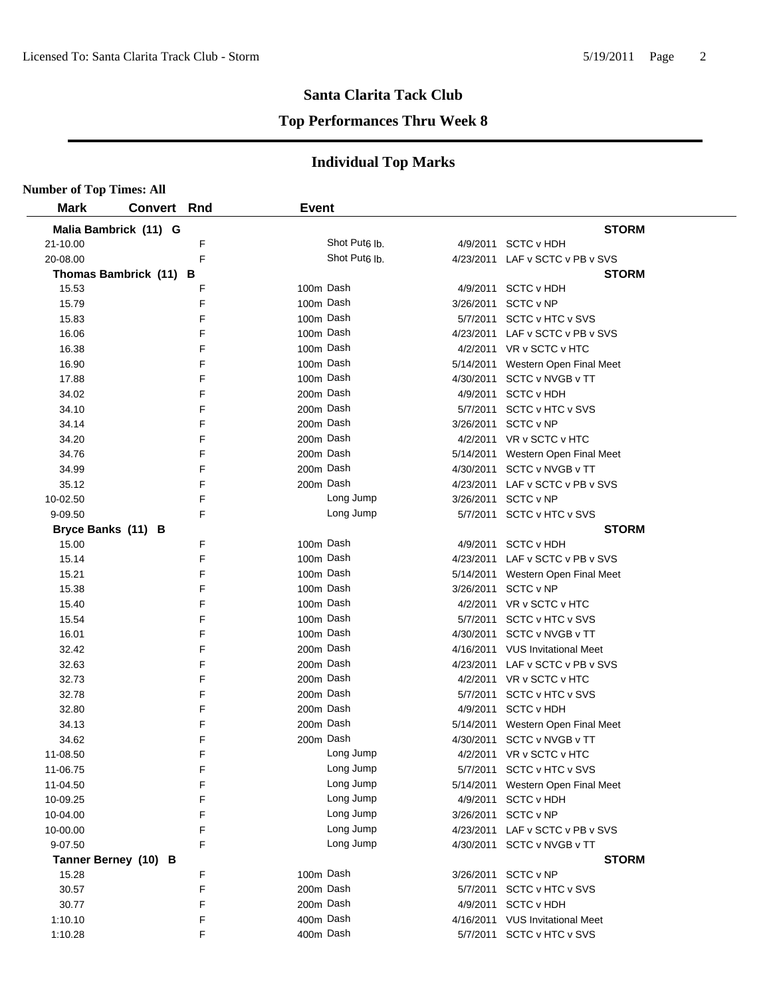#### **Top Performances Thru Week 8**

| <b>Number of Top Times: All</b> |                        |   |              |                           |           |                                   |
|---------------------------------|------------------------|---|--------------|---------------------------|-----------|-----------------------------------|
| <b>Mark</b>                     | <b>Convert Rnd</b>     |   | <b>Event</b> |                           |           |                                   |
|                                 | Malia Bambrick (11) G  |   |              |                           |           | <b>STORM</b>                      |
| 21-10.00                        |                        | F |              | Shot Put <sub>6</sub> lb. |           | 4/9/2011 SCTC v HDH               |
| 20-08.00                        |                        | F |              | Shot Put <sub>6</sub> lb. |           | 4/23/2011 LAF v SCTC v PB v SVS   |
|                                 | Thomas Bambrick (11) B |   |              |                           |           | <b>STORM</b>                      |
| 15.53                           |                        | F | 100m Dash    |                           |           | 4/9/2011 SCTC v HDH               |
| 15.79                           |                        | F | 100m Dash    |                           |           | 3/26/2011 SCTC v NP               |
| 15.83                           |                        | F | 100m Dash    |                           |           | 5/7/2011 SCTC v HTC v SVS         |
| 16.06                           |                        | F | 100m Dash    |                           |           | 4/23/2011 LAF v SCTC v PB v SVS   |
| 16.38                           |                        | F | 100m Dash    |                           |           | 4/2/2011 VR v SCTC v HTC          |
| 16.90                           |                        | F | 100m Dash    |                           |           | 5/14/2011 Western Open Final Meet |
| 17.88                           |                        | F | 100m Dash    |                           |           | 4/30/2011 SCTC v NVGB v TT        |
| 34.02                           |                        | F | 200m Dash    |                           |           | 4/9/2011 SCTC v HDH               |
| 34.10                           |                        | F | 200m Dash    |                           |           | 5/7/2011 SCTC v HTC v SVS         |
| 34.14                           |                        | F | 200m Dash    |                           |           | 3/26/2011 SCTC v NP               |
| 34.20                           |                        | F | 200m Dash    |                           |           | 4/2/2011 VR v SCTC v HTC          |
| 34.76                           |                        | F | 200m Dash    |                           |           | 5/14/2011 Western Open Final Meet |
| 34.99                           |                        | F | 200m Dash    |                           |           | 4/30/2011 SCTC v NVGB v TT        |
| 35.12                           |                        | F | 200m Dash    |                           |           | 4/23/2011 LAF v SCTC v PB v SVS   |
| 10-02.50                        |                        | F |              | Long Jump                 |           | 3/26/2011 SCTC v NP               |
| 9-09.50                         |                        | F |              | Long Jump                 |           | 5/7/2011 SCTC v HTC v SVS         |
| Bryce Banks (11) B              |                        |   |              |                           |           | <b>STORM</b>                      |
| 15.00                           |                        | F | 100m Dash    |                           |           | 4/9/2011 SCTC v HDH               |
| 15.14                           |                        | F | 100m Dash    |                           |           | 4/23/2011 LAF v SCTC v PB v SVS   |
| 15.21                           |                        | F | 100m Dash    |                           |           | 5/14/2011 Western Open Final Meet |
| 15.38                           |                        | F | 100m Dash    |                           |           | 3/26/2011 SCTC v NP               |
| 15.40                           |                        | F | 100m Dash    |                           |           | 4/2/2011 VR v SCTC v HTC          |
| 15.54                           |                        | F | 100m Dash    |                           |           | 5/7/2011 SCTC v HTC v SVS         |
| 16.01                           |                        | F | 100m Dash    |                           |           | 4/30/2011 SCTC v NVGB v TT        |
| 32.42                           |                        | F | 200m Dash    |                           |           | 4/16/2011 VUS Invitational Meet   |
| 32.63                           |                        | F | 200m Dash    |                           |           | 4/23/2011 LAF v SCTC v PB v SVS   |
| 32.73                           |                        | F | 200m Dash    |                           |           | 4/2/2011 VR v SCTC v HTC          |
| 32.78                           |                        | F | 200m Dash    |                           |           | 5/7/2011 SCTC v HTC v SVS         |
| 32.80                           |                        | F | 200m Dash    |                           |           | 4/9/2011 SCTC v HDH               |
| 34.13                           |                        | F | 200m Dash    |                           |           | 5/14/2011 Western Open Final Meet |
| 34.62                           |                        | F | 200m Dash    |                           |           | 4/30/2011 SCTC v NVGB v TT        |
| 11-08.50                        |                        | F |              | Long Jump                 |           | 4/2/2011 VR v SCTC v HTC          |
| 11-06.75                        |                        | F |              | Long Jump                 | 5/7/2011  | SCTC v HTC v SVS                  |
| 11-04.50                        |                        | F |              | Long Jump                 |           | 5/14/2011 Western Open Final Meet |
| 10-09.25                        |                        | F |              | Long Jump                 | 4/9/2011  | <b>SCTC v HDH</b>                 |
| 10-04.00                        |                        | F |              | Long Jump                 | 3/26/2011 | SCTC v NP                         |
| 10-00.00                        |                        | F |              | Long Jump                 |           | 4/23/2011 LAF v SCTC v PB v SVS   |
| 9-07.50                         |                        | F |              | Long Jump                 |           | 4/30/2011 SCTC v NVGB v TT        |
|                                 | Tanner Berney (10) B   |   |              |                           |           | <b>STORM</b>                      |
| 15.28                           |                        | F | 100m Dash    |                           |           | 3/26/2011 SCTC v NP               |
| 30.57                           |                        | F | 200m Dash    |                           |           | 5/7/2011 SCTC v HTC v SVS         |
| 30.77                           |                        | F | 200m Dash    |                           |           | 4/9/2011 SCTC v HDH               |
| 1:10.10                         |                        | F | 400m Dash    |                           |           | 4/16/2011 VUS Invitational Meet   |
| 1:10.28                         |                        | F | 400m Dash    |                           |           | 5/7/2011 SCTC v HTC v SVS         |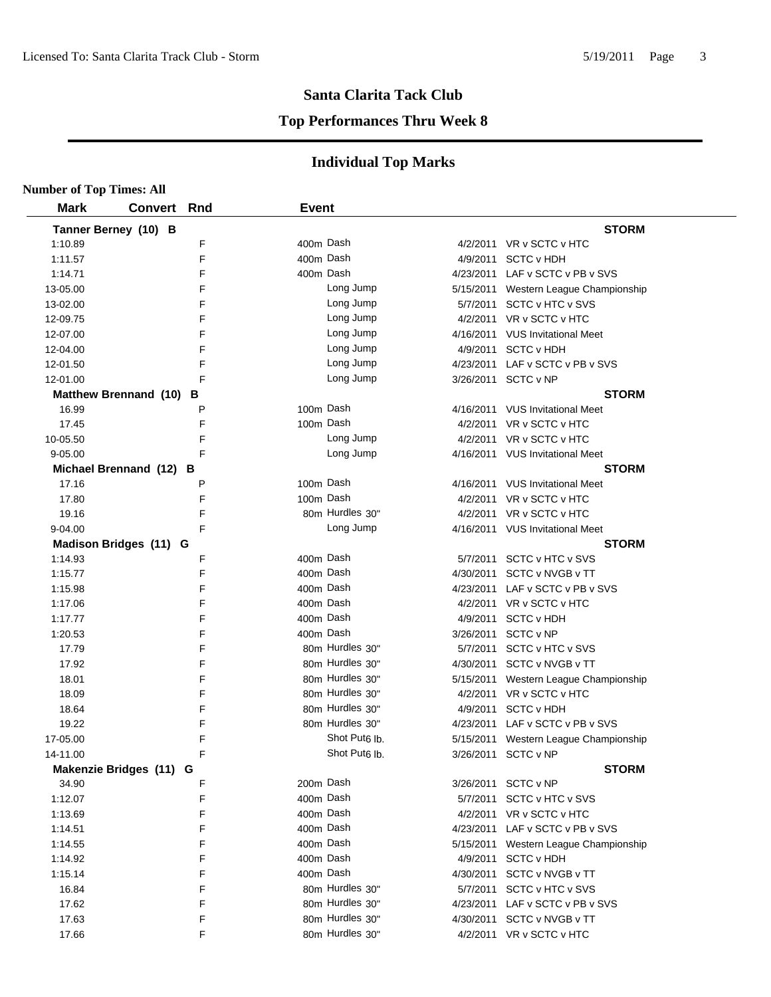#### **Top Performances Thru Week 8**

| <b>Number of Top Times: All</b> |                         |     |              |                           |           |                                       |
|---------------------------------|-------------------------|-----|--------------|---------------------------|-----------|---------------------------------------|
| <b>Mark</b>                     | <b>Convert</b>          | Rnd | <b>Event</b> |                           |           |                                       |
|                                 | Tanner Berney (10) B    |     |              |                           |           | <b>STORM</b>                          |
| 1:10.89                         |                         | F   | 400m Dash    |                           |           | 4/2/2011 VR v SCTC v HTC              |
| 1:11.57                         |                         | F   | 400m Dash    |                           |           | 4/9/2011 SCTC v HDH                   |
| 1:14.71                         |                         | F   | 400m Dash    |                           |           | 4/23/2011 LAF v SCTC v PB v SVS       |
| 13-05.00                        |                         | F   |              | Long Jump                 |           | 5/15/2011 Western League Championship |
| 13-02.00                        |                         | F   |              | Long Jump                 |           | 5/7/2011 SCTC v HTC v SVS             |
| 12-09.75                        |                         | F   |              | Long Jump                 |           | 4/2/2011 VR v SCTC v HTC              |
| 12-07.00                        |                         | F   |              | Long Jump                 |           | 4/16/2011 VUS Invitational Meet       |
| 12-04.00                        |                         | F   |              | Long Jump                 |           | 4/9/2011 SCTC v HDH                   |
| 12-01.50                        |                         | F   |              | Long Jump                 |           | 4/23/2011 LAF v SCTC v PB v SVS       |
| 12-01.00                        |                         | F   |              | Long Jump                 |           | 3/26/2011 SCTC v NP                   |
|                                 | Matthew Brennand (10) B |     |              |                           |           | <b>STORM</b>                          |
| 16.99                           |                         | P   | 100m Dash    |                           |           | 4/16/2011 VUS Invitational Meet       |
| 17.45                           |                         | F   | 100m Dash    |                           |           | 4/2/2011 VR v SCTC v HTC              |
| 10-05.50                        |                         | F   |              | Long Jump                 |           | 4/2/2011 VR v SCTC v HTC              |
| 9-05.00                         |                         | F   |              | Long Jump                 |           | 4/16/2011 VUS Invitational Meet       |
|                                 | Michael Brennand (12) B |     |              |                           |           | <b>STORM</b>                          |
| 17.16                           |                         | P   | 100m Dash    |                           |           | 4/16/2011 VUS Invitational Meet       |
| 17.80                           |                         | F   | 100m Dash    |                           |           | 4/2/2011 VR v SCTC v HTC              |
| 19.16                           |                         | F   |              | 80m Hurdles 30"           |           | 4/2/2011 VR v SCTC v HTC              |
| 9-04.00                         |                         | F   |              | Long Jump                 |           | 4/16/2011 VUS Invitational Meet       |
|                                 | Madison Bridges (11) G  |     |              |                           |           | <b>STORM</b>                          |
| 1:14.93                         |                         | F   | 400m Dash    |                           |           | 5/7/2011 SCTC v HTC v SVS             |
| 1:15.77                         |                         | F   | 400m Dash    |                           |           | 4/30/2011 SCTC v NVGB v TT            |
| 1:15.98                         |                         | F   | 400m Dash    |                           |           | 4/23/2011 LAF v SCTC v PB v SVS       |
| 1:17.06                         |                         | F   | 400m Dash    |                           |           | 4/2/2011 VR v SCTC v HTC              |
| 1:17.77                         |                         | F   | 400m Dash    |                           |           | 4/9/2011 SCTC v HDH                   |
| 1:20.53                         |                         | F   | 400m Dash    |                           | 3/26/2011 | SCTC v NP                             |
| 17.79                           |                         | F   |              | 80m Hurdles 30"           |           | 5/7/2011 SCTC v HTC v SVS             |
| 17.92                           |                         | F   |              | 80m Hurdles 30"           |           | 4/30/2011 SCTC v NVGB v TT            |
| 18.01                           |                         | F   |              | 80m Hurdles 30"           |           | 5/15/2011 Western League Championship |
| 18.09                           |                         | F   |              | 80m Hurdles 30"           |           | 4/2/2011 VR v SCTC v HTC              |
| 18.64                           |                         | F   |              | 80m Hurdles 30"           | 4/9/2011  | <b>SCTC v HDH</b>                     |
| 19.22                           |                         | F   |              | 80m Hurdles 30"           |           | 4/23/2011 LAF v SCTC v PB v SVS       |
| 17-05.00                        |                         | F   |              | Shot Put <sub>6</sub> lb. |           | 5/15/2011 Western League Championship |
| 14-11.00                        |                         | F   |              | Shot Put <sub>6</sub> lb. |           | 3/26/2011 SCTC v NP                   |
|                                 | Makenzie Bridges (11) G |     |              |                           |           | <b>STORM</b>                          |
| 34.90                           |                         | F   | 200m Dash    |                           |           | 3/26/2011 SCTC v NP                   |
| 1:12.07                         |                         | F   | 400m Dash    |                           |           | 5/7/2011 SCTC v HTC v SVS             |
| 1:13.69                         |                         | F   | 400m Dash    |                           |           | 4/2/2011 VR v SCTC v HTC              |
| 1:14.51                         |                         | F   | 400m Dash    |                           |           | 4/23/2011 LAF v SCTC v PB v SVS       |
| 1:14.55                         |                         | F   | 400m Dash    |                           | 5/15/2011 | Western League Championship           |
| 1:14.92                         |                         | F   | 400m Dash    |                           |           | 4/9/2011 SCTC v HDH                   |
| 1:15.14                         |                         | F   | 400m Dash    |                           |           | 4/30/2011 SCTC v NVGB v TT            |
| 16.84                           |                         | F   |              | 80m Hurdles 30"           |           | 5/7/2011 SCTC v HTC v SVS             |
| 17.62                           |                         | F   |              | 80m Hurdles 30"           |           | 4/23/2011 LAF v SCTC v PB v SVS       |
| 17.63                           |                         | F   |              | 80m Hurdles 30"           |           | 4/30/2011 SCTC v NVGB v TT            |
| 17.66                           |                         | F   |              | 80m Hurdles 30"           |           | 4/2/2011 VR v SCTC v HTC              |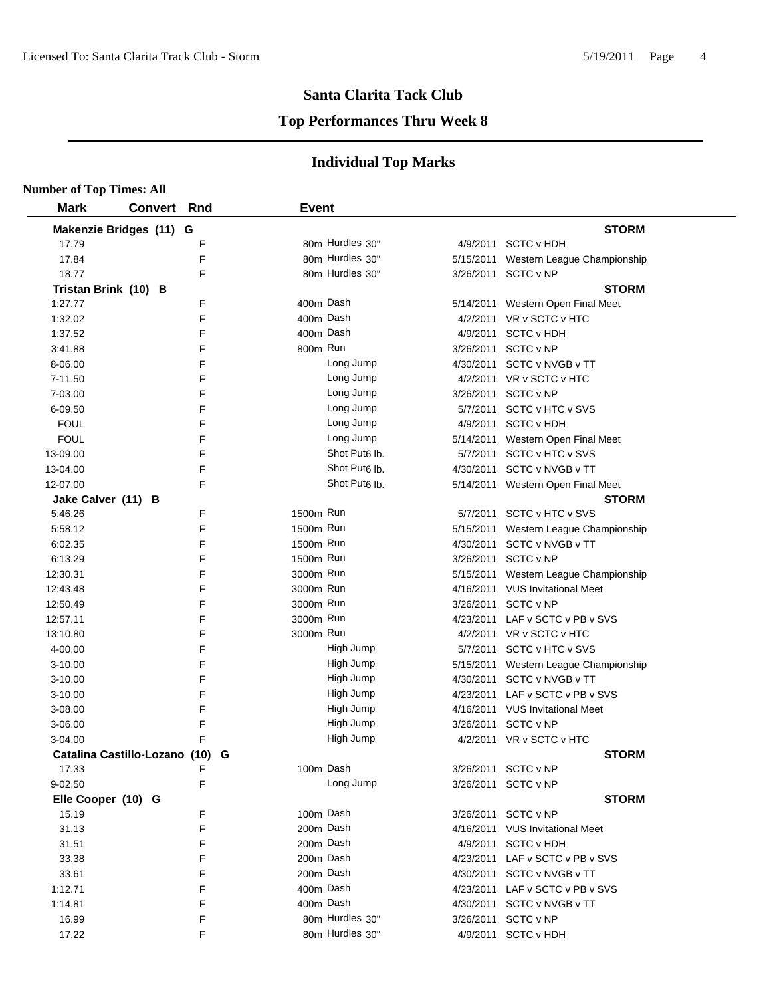#### **Top Performances Thru Week 8**

| <b>Number of Top Times: All</b> |                                 |   |              |                           |           |                                   |
|---------------------------------|---------------------------------|---|--------------|---------------------------|-----------|-----------------------------------|
| <b>Mark</b>                     | <b>Convert Rnd</b>              |   | <b>Event</b> |                           |           |                                   |
|                                 | Makenzie Bridges (11) G         |   |              |                           |           | <b>STORM</b>                      |
| 17.79                           |                                 | F |              | 80m Hurdles 30"           |           | 4/9/2011 SCTC v HDH               |
| 17.84                           |                                 | F |              | 80m Hurdles 30"           | 5/15/2011 | Western League Championship       |
| 18.77                           |                                 | F |              | 80m Hurdles 30"           |           | 3/26/2011 SCTC v NP               |
| Tristan Brink (10) B            |                                 |   |              |                           |           | <b>STORM</b>                      |
| 1:27.77                         |                                 | F | 400m Dash    |                           |           | 5/14/2011 Western Open Final Meet |
| 1:32.02                         |                                 | F | 400m Dash    |                           |           | 4/2/2011 VR v SCTC v HTC          |
| 1:37.52                         |                                 | F | 400m Dash    |                           |           | 4/9/2011 SCTC v HDH               |
| 3:41.88                         |                                 | F | 800m Run     |                           |           | 3/26/2011 SCTC v NP               |
| 8-06.00                         |                                 | F |              | Long Jump                 |           | 4/30/2011 SCTC v NVGB v TT        |
| 7-11.50                         |                                 | F |              | Long Jump                 |           | 4/2/2011 VR v SCTC v HTC          |
| 7-03.00                         |                                 | F |              | Long Jump                 |           | 3/26/2011 SCTC v NP               |
| 6-09.50                         |                                 | F |              | Long Jump                 |           | 5/7/2011 SCTC v HTC v SVS         |
| <b>FOUL</b>                     |                                 | F |              | Long Jump                 |           | 4/9/2011 SCTC v HDH               |
| <b>FOUL</b>                     |                                 | F |              | Long Jump                 |           | 5/14/2011 Western Open Final Meet |
| 13-09.00                        |                                 | F |              | Shot Put <sub>6</sub> lb. |           | 5/7/2011 SCTC v HTC v SVS         |
| 13-04.00                        |                                 | F |              | Shot Put <sub>6</sub> Ib. |           | 4/30/2011 SCTC v NVGB v TT        |
| 12-07.00                        |                                 | F |              | Shot Put <sub>6</sub> lb. |           | 5/14/2011 Western Open Final Meet |
| Jake Calver (11) B              |                                 |   |              |                           |           | <b>STORM</b>                      |
| 5:46.26                         |                                 | F | 1500m Run    |                           |           | 5/7/2011 SCTC v HTC v SVS         |
| 5:58.12                         |                                 | F | 1500m Run    |                           | 5/15/2011 | Western League Championship       |
| 6:02.35                         |                                 | F | 1500m Run    |                           | 4/30/2011 | SCTC v NVGB v TT                  |
| 6:13.29                         |                                 | F | 1500m Run    |                           |           | 3/26/2011 SCTC v NP               |
| 12:30.31                        |                                 | F | 3000m Run    |                           | 5/15/2011 | Western League Championship       |
| 12:43.48                        |                                 | F | 3000m Run    |                           |           | 4/16/2011 VUS Invitational Meet   |
| 12:50.49                        |                                 | F | 3000m Run    |                           | 3/26/2011 | SCTC v NP                         |
| 12:57.11                        |                                 | F | 3000m Run    |                           | 4/23/2011 | LAF v SCTC v PB v SVS             |
| 13:10.80                        |                                 | F | 3000m Run    |                           |           | 4/2/2011 VR v SCTC v HTC          |
| 4-00.00                         |                                 | F |              | High Jump                 |           | 5/7/2011 SCTC v HTC v SVS         |
| $3 - 10.00$                     |                                 | F |              | High Jump                 | 5/15/2011 | Western League Championship       |
| $3 - 10.00$                     |                                 | F |              | High Jump                 | 4/30/2011 | SCTC v NVGB v TT                  |
| $3 - 10.00$                     |                                 | F |              | High Jump                 |           | 4/23/2011 LAF v SCTC v PB v SVS   |
| 3-08.00                         |                                 | F |              | High Jump                 |           | 4/16/2011 VUS Invitational Meet   |
| 3-06.00                         |                                 | F |              | High Jump                 | 3/26/2011 | SCTC v NP                         |
| 3-04.00                         |                                 | F |              | High Jump                 |           | 4/2/2011 VR v SCTC v HTC          |
|                                 | Catalina Castillo-Lozano (10) G |   |              |                           |           | <b>STORM</b>                      |
| 17.33                           |                                 |   | 100m Dash    |                           |           | 3/26/2011 SCTC v NP               |
| 9-02.50                         |                                 | F |              | Long Jump                 |           | 3/26/2011 SCTC v NP               |
| Elle Cooper (10) G              |                                 |   |              |                           |           | <b>STORM</b>                      |
| 15.19                           |                                 | F | 100m Dash    |                           |           | 3/26/2011 SCTC v NP               |
| 31.13                           |                                 | F | 200m Dash    |                           |           | 4/16/2011 VUS Invitational Meet   |
| 31.51                           |                                 | F | 200m Dash    |                           |           | 4/9/2011 SCTC v HDH               |
| 33.38                           |                                 | F | 200m Dash    |                           |           | 4/23/2011 LAF v SCTC v PB v SVS   |
| 33.61                           |                                 | F | 200m Dash    |                           |           | 4/30/2011 SCTC v NVGB v TT        |
| 1:12.71                         |                                 | F | 400m Dash    |                           |           | 4/23/2011 LAF v SCTC v PB v SVS   |
| 1:14.81                         |                                 | F | 400m Dash    |                           |           | 4/30/2011 SCTC v NVGB v TT        |
| 16.99                           |                                 | F |              | 80m Hurdles 30"           |           | 3/26/2011 SCTC v NP               |
| 17.22                           |                                 | F |              | 80m Hurdles 30"           |           | 4/9/2011 SCTC v HDH               |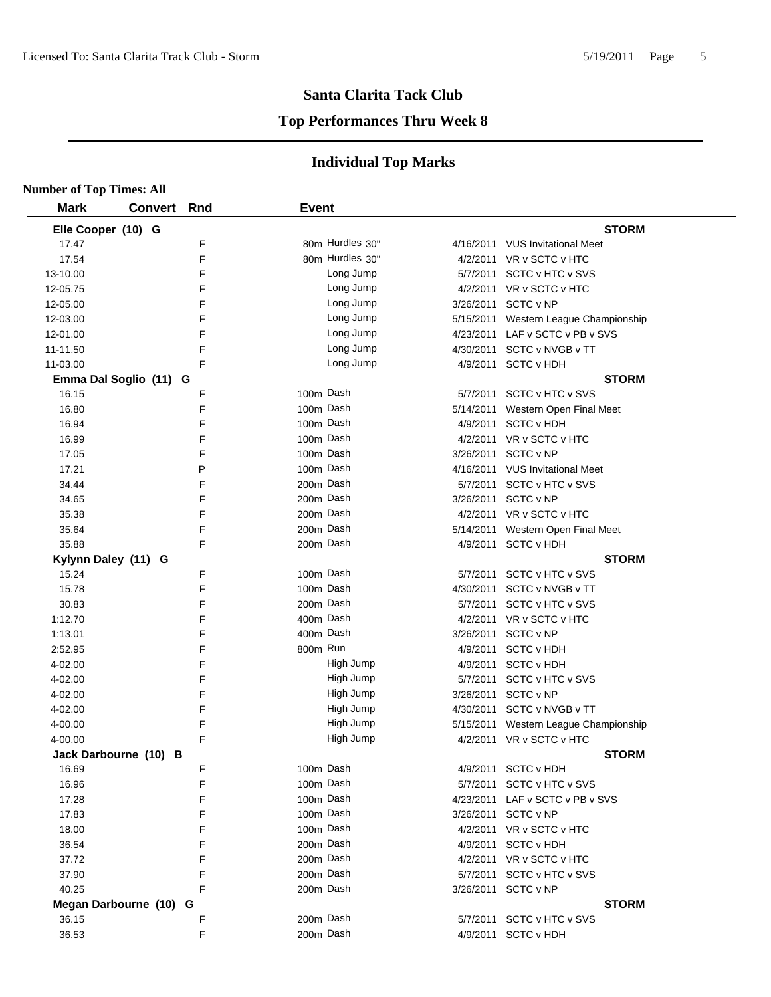#### **Top Performances Thru Week 8**

| <b>Number of Top Times: All</b> |                        |     |              |                 |           |                                       |
|---------------------------------|------------------------|-----|--------------|-----------------|-----------|---------------------------------------|
| <b>Mark</b>                     | <b>Convert</b>         | Rnd | <b>Event</b> |                 |           |                                       |
| Elle Cooper (10) G              |                        |     |              |                 |           | <b>STORM</b>                          |
| 17.47                           |                        | F   |              | 80m Hurdles 30" |           | 4/16/2011 VUS Invitational Meet       |
| 17.54                           |                        | F   |              | 80m Hurdles 30" |           | 4/2/2011 VR v SCTC v HTC              |
| 13-10.00                        |                        | F   |              | Long Jump       | 5/7/2011  | SCTC v HTC v SVS                      |
| 12-05.75                        |                        | F   |              | Long Jump       |           | 4/2/2011 VR v SCTC v HTC              |
| 12-05.00                        |                        | F   |              | Long Jump       | 3/26/2011 | SCTC v NP                             |
| 12-03.00                        |                        | F   |              | Long Jump       |           | 5/15/2011 Western League Championship |
| 12-01.00                        |                        | F   |              | Long Jump       | 4/23/2011 | LAF v SCTC v PB v SVS                 |
| 11-11.50                        |                        | F   |              | Long Jump       | 4/30/2011 | <b>SCTC v NVGB v TT</b>               |
| 11-03.00                        |                        | F   |              | Long Jump       |           | 4/9/2011 SCTC v HDH                   |
|                                 | Emma Dal Soglio (11) G |     |              |                 |           | <b>STORM</b>                          |
| 16.15                           |                        | F   |              | 100m Dash       |           | 5/7/2011 SCTC v HTC v SVS             |
| 16.80                           |                        | F   | 100m Dash    |                 |           | 5/14/2011 Western Open Final Meet     |
| 16.94                           |                        | F   | 100m Dash    |                 |           | 4/9/2011 SCTC v HDH                   |
| 16.99                           |                        | F   |              | 100m Dash       |           | 4/2/2011 VR v SCTC v HTC              |
| 17.05                           |                        | F   |              | 100m Dash       | 3/26/2011 | SCTC v NP                             |
| 17.21                           |                        | P   |              | 100m Dash       |           | 4/16/2011 VUS Invitational Meet       |
| 34.44                           |                        | F   |              | 200m Dash       |           | 5/7/2011 SCTC v HTC v SVS             |
| 34.65                           |                        | F   |              | 200m Dash       | 3/26/2011 | SCTC v NP                             |
| 35.38                           |                        | F   | 200m Dash    |                 |           | 4/2/2011 VR v SCTC v HTC              |
| 35.64                           |                        | F   | 200m Dash    |                 | 5/14/2011 | Western Open Final Meet               |
| 35.88                           |                        | F   | 200m Dash    |                 |           | 4/9/2011 SCTC v HDH                   |
| Kylynn Daley (11) G             |                        |     |              |                 |           | <b>STORM</b>                          |
| 15.24                           |                        | F   | 100m Dash    |                 |           | 5/7/2011 SCTC v HTC v SVS             |
| 15.78                           |                        | F   | 100m Dash    |                 | 4/30/2011 | SCTC v NVGB v TT                      |
| 30.83                           |                        | F   | 200m Dash    |                 | 5/7/2011  | <b>SCTC v HTC v SVS</b>               |
| 1:12.70                         |                        | F   | 400m Dash    |                 |           | 4/2/2011 VR v SCTC v HTC              |
| 1:13.01                         |                        | F   | 400m Dash    |                 | 3/26/2011 | SCTC v NP                             |
| 2:52.95                         |                        | F   | 800m Run     |                 | 4/9/2011  | <b>SCTC v HDH</b>                     |
| 4-02.00                         |                        | F   |              | High Jump       | 4/9/2011  | <b>SCTC v HDH</b>                     |
| 4-02.00                         |                        | F   |              | High Jump       | 5/7/2011  | SCTC v HTC v SVS                      |
| 4-02.00                         |                        | F   |              | High Jump       | 3/26/2011 | SCTC v NP                             |
| 4-02.00                         |                        | F   |              | High Jump       | 4/30/2011 | SCTC v NVGB v TT                      |
| 4-00.00                         |                        | F   |              | High Jump       | 5/15/2011 | Western League Championship           |
| 4-00.00                         |                        | F   |              | High Jump       |           | 4/2/2011 VR v SCTC v HTC              |
|                                 | Jack Darbourne (10) B  |     |              |                 |           | <b>STORM</b>                          |
| 16.69                           |                        | F   | 100m Dash    |                 |           | 4/9/2011 SCTC v HDH                   |
| 16.96                           |                        | F   | 100m Dash    |                 |           | 5/7/2011 SCTC v HTC v SVS             |
| 17.28                           |                        | F   |              | 100m Dash       |           | 4/23/2011 LAF v SCTC v PB v SVS       |
| 17.83                           |                        | F   |              | 100m Dash       |           | 3/26/2011 SCTC v NP                   |
| 18.00                           |                        | F   |              | 100m Dash       |           | 4/2/2011 VR v SCTC v HTC              |
| 36.54                           |                        | F   |              | 200m Dash       |           | 4/9/2011 SCTC v HDH                   |
| 37.72                           |                        | F   |              | 200m Dash       |           | 4/2/2011 VR v SCTC v HTC              |
| 37.90                           |                        | F   |              | 200m Dash       |           | 5/7/2011 SCTC v HTC v SVS             |
| 40.25                           |                        | F   |              | 200m Dash       |           | 3/26/2011 SCTC v NP                   |
|                                 | Megan Darbourne (10) G |     |              |                 |           | <b>STORM</b>                          |
| 36.15                           |                        | F   |              | 200m Dash       |           | 5/7/2011 SCTC v HTC v SVS             |
| 36.53                           |                        | F   |              | 200m Dash       |           | 4/9/2011 SCTC v HDH                   |
|                                 |                        |     |              |                 |           |                                       |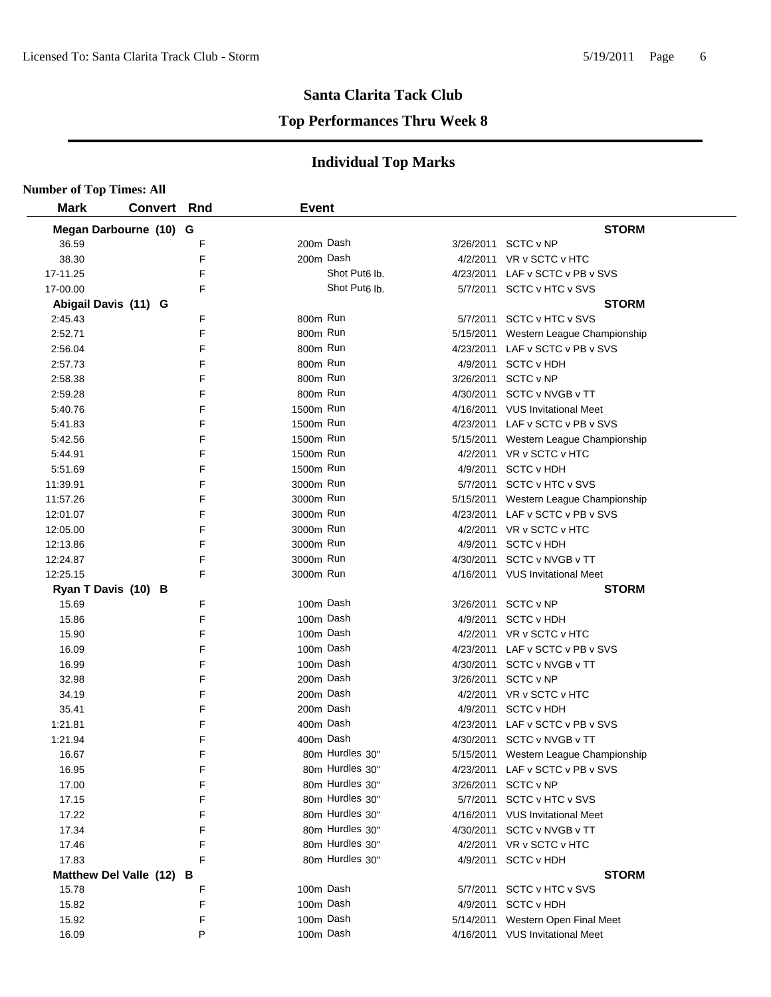#### **Top Performances Thru Week 8**

| <b>Number of Top Times: All</b> |                    |   |              |                           |                                       |
|---------------------------------|--------------------|---|--------------|---------------------------|---------------------------------------|
| <b>Mark</b>                     | <b>Convert Rnd</b> |   | <b>Event</b> |                           |                                       |
| Megan Darbourne (10) G          |                    |   |              |                           | <b>STORM</b>                          |
| 36.59                           |                    | F |              | 200m Dash                 | 3/26/2011 SCTC v NP                   |
| 38.30                           |                    | F |              | 200m Dash                 | 4/2/2011 VR v SCTC v HTC              |
| 17-11.25                        |                    | F |              | Shot Put <sub>6</sub> lb. | 4/23/2011 LAF v SCTC v PB v SVS       |
| 17-00.00                        |                    | F |              | Shot Put <sub>6</sub> lb. | 5/7/2011 SCTC v HTC v SVS             |
| Abigail Davis (11) G            |                    |   |              |                           | <b>STORM</b>                          |
| 2:45.43                         |                    | F | 800m Run     |                           | 5/7/2011 SCTC v HTC v SVS             |
| 2:52.71                         |                    | F | 800m Run     |                           | 5/15/2011 Western League Championship |
| 2:56.04                         |                    | F | 800m Run     |                           | 4/23/2011 LAF v SCTC v PB v SVS       |
| 2:57.73                         |                    | F | 800m Run     |                           | 4/9/2011 SCTC v HDH                   |
| 2:58.38                         |                    | F | 800m Run     |                           | 3/26/2011 SCTC v NP                   |
| 2:59.28                         |                    | F | 800m Run     |                           | 4/30/2011 SCTC v NVGB v TT            |
| 5:40.76                         |                    | F | 1500m Run    |                           | 4/16/2011 VUS Invitational Meet       |
| 5:41.83                         |                    | F | 1500m Run    |                           | 4/23/2011 LAF v SCTC v PB v SVS       |
| 5:42.56                         |                    | F | 1500m Run    |                           | 5/15/2011 Western League Championship |
| 5:44.91                         |                    | F | 1500m Run    |                           | 4/2/2011 VR v SCTC v HTC              |
| 5:51.69                         |                    | F | 1500m Run    |                           | 4/9/2011 SCTC v HDH                   |
| 11:39.91                        |                    | F | 3000m Run    |                           | 5/7/2011 SCTC v HTC v SVS             |
| 11:57.26                        |                    | F | 3000m Run    |                           | 5/15/2011 Western League Championship |
| 12:01.07                        |                    | F | 3000m Run    |                           | 4/23/2011 LAF v SCTC v PB v SVS       |
| 12:05.00                        |                    | F | 3000m Run    |                           | 4/2/2011 VR v SCTC v HTC              |
| 12:13.86                        |                    | F | 3000m Run    |                           | 4/9/2011 SCTC v HDH                   |
| 12:24.87                        |                    | F | 3000m Run    |                           | 4/30/2011 SCTC v NVGB v TT            |
| 12:25.15                        |                    | F | 3000m Run    |                           | 4/16/2011 VUS Invitational Meet       |
| Ryan T Davis (10) B             |                    |   |              |                           | <b>STORM</b>                          |
| 15.69                           |                    | F |              | 100m Dash                 | 3/26/2011 SCTC v NP                   |
| 15.86                           |                    | F |              | 100m Dash                 | 4/9/2011 SCTC v HDH                   |
| 15.90                           |                    | F |              | 100m Dash                 | 4/2/2011 VR v SCTC v HTC              |
| 16.09                           |                    | F |              | 100m Dash                 | 4/23/2011 LAF v SCTC v PB v SVS       |
| 16.99                           |                    | F |              | 100m Dash                 | 4/30/2011 SCTC v NVGB v TT            |
| 32.98                           |                    | F |              | 200m Dash                 | 3/26/2011 SCTC v NP                   |
| 34.19                           |                    | F |              | 200m Dash                 | 4/2/2011 VR v SCTC v HTC              |
| 35.41                           |                    | F |              | 200m Dash                 | 4/9/2011 SCTC v HDH                   |
| 1:21.81                         |                    | F |              | 400m Dash                 | 4/23/2011 LAF v SCTC v PB v SVS       |
| 1:21.94                         |                    | F |              | 400m Dash                 | 4/30/2011 SCTC v NVGB v TT            |
| 16.67                           |                    | F |              | 80m Hurdles 30"           | 5/15/2011 Western League Championship |
| 16.95                           |                    | F |              | 80m Hurdles 30"           | 4/23/2011 LAF v SCTC v PB v SVS       |
| 17.00                           |                    | F |              | 80m Hurdles 30"           | 3/26/2011 SCTC v NP                   |
| 17.15                           |                    | F |              | 80m Hurdles 30"           | 5/7/2011 SCTC v HTC v SVS             |
| 17.22                           |                    | F |              | 80m Hurdles 30"           | 4/16/2011 VUS Invitational Meet       |
|                                 |                    | F |              | 80m Hurdles 30"           |                                       |
| 17.34                           |                    |   |              | 80m Hurdles 30"           | 4/30/2011 SCTC v NVGB v TT            |
| 17.46                           |                    | F |              |                           | 4/2/2011 VR v SCTC v HTC              |
| 17.83                           |                    | F |              | 80m Hurdles 30"           | 4/9/2011 SCTC v HDH                   |
| Matthew Del Valle (12) B        |                    |   |              |                           | <b>STORM</b>                          |
| 15.78                           |                    | F |              | 100m Dash                 | 5/7/2011 SCTC v HTC v SVS             |
| 15.82                           |                    | F |              | 100m Dash                 | 4/9/2011 SCTC v HDH                   |
| 15.92                           |                    | F |              | 100m Dash                 | 5/14/2011 Western Open Final Meet     |
| 16.09                           |                    | P |              | 100m Dash                 | 4/16/2011 VUS Invitational Meet       |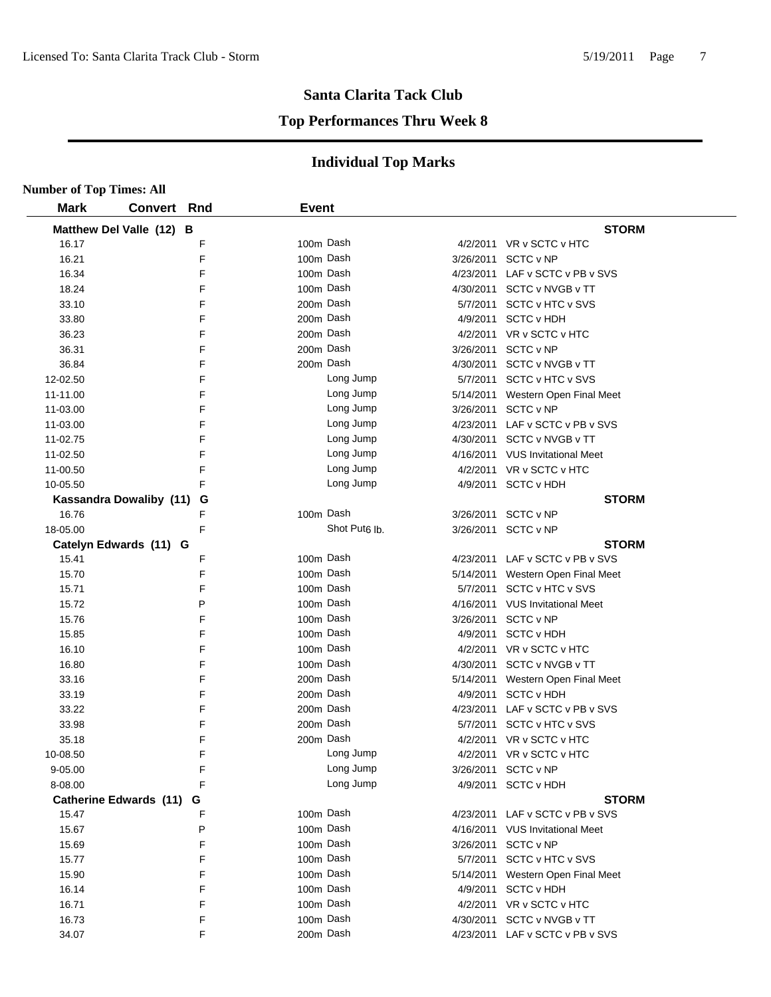#### **Top Performances Thru Week 8**

| <b>Number of Top Times: All</b> |                    |              |                           |           |                                                               |
|---------------------------------|--------------------|--------------|---------------------------|-----------|---------------------------------------------------------------|
| <b>Mark</b>                     | <b>Convert Rnd</b> | <b>Event</b> |                           |           |                                                               |
| Matthew Del Valle (12) B        |                    |              |                           |           | <b>STORM</b>                                                  |
| 16.17                           | F                  |              | 100m Dash                 |           | 4/2/2011 VR v SCTC v HTC                                      |
| 16.21                           | F                  |              | 100m Dash                 | 3/26/2011 | SCTC v NP                                                     |
| 16.34                           | F                  |              | 100m Dash                 | 4/23/2011 | LAF v SCTC v PB v SVS                                         |
| 18.24                           | F                  |              | 100m Dash                 | 4/30/2011 | SCTC v NVGB v TT                                              |
| 33.10                           | F                  |              | 200m Dash                 | 5/7/2011  | <b>SCTC v HTC v SVS</b>                                       |
| 33.80                           | F                  |              | 200m Dash                 | 4/9/2011  | <b>SCTC v HDH</b>                                             |
| 36.23                           | F                  |              | 200m Dash                 |           | 4/2/2011 VR v SCTC v HTC                                      |
| 36.31                           | F                  |              | 200m Dash                 | 3/26/2011 | <b>SCTC v NP</b>                                              |
| 36.84                           | F                  |              | 200m Dash                 | 4/30/2011 | SCTC v NVGB v TT                                              |
| 12-02.50                        | F                  |              | Long Jump                 |           | 5/7/2011 SCTC v HTC v SVS                                     |
| 11-11.00                        | F                  |              | Long Jump                 |           | 5/14/2011 Western Open Final Meet                             |
| 11-03.00                        | F                  |              | Long Jump                 |           | 3/26/2011 SCTC v NP                                           |
| 11-03.00                        | F                  |              | Long Jump                 |           | 4/23/2011 LAF v SCTC v PB v SVS                               |
| 11-02.75                        | F                  |              | Long Jump                 |           | 4/30/2011 SCTC v NVGB v TT                                    |
| 11-02.50                        | F                  |              | Long Jump                 |           | 4/16/2011 VUS Invitational Meet                               |
| 11-00.50                        | F                  |              | Long Jump                 |           | 4/2/2011 VR v SCTC v HTC                                      |
| 10-05.50                        | F                  |              | Long Jump                 |           | 4/9/2011 SCTC v HDH                                           |
| <b>Kassandra Dowaliby (11)</b>  | G                  |              |                           |           | <b>STORM</b>                                                  |
| 16.76                           | F                  |              | 100m Dash                 |           | 3/26/2011 SCTC v NP                                           |
| 18-05.00                        | F                  |              | Shot Put <sub>6</sub> lb. |           | 3/26/2011 SCTC v NP                                           |
| Catelyn Edwards (11) G          |                    |              |                           |           | <b>STORM</b>                                                  |
| 15.41                           | F                  |              | 100m Dash                 |           | 4/23/2011 LAF v SCTC v PB v SVS                               |
| 15.70                           | F                  |              | 100m Dash                 |           | 5/14/2011 Western Open Final Meet                             |
| 15.71                           | F                  |              | 100m Dash                 | 5/7/2011  | <b>SCTC v HTC v SVS</b>                                       |
| 15.72                           | P                  |              | 100m Dash                 |           | 4/16/2011 VUS Invitational Meet                               |
| 15.76                           | F                  |              | 100m Dash                 | 3/26/2011 | SCTC v NP                                                     |
| 15.85                           | F                  |              | 100m Dash                 | 4/9/2011  | <b>SCTC v HDH</b>                                             |
| 16.10                           | F                  |              | 100m Dash                 |           | 4/2/2011 VR v SCTC v HTC                                      |
| 16.80                           | F                  |              | 100m Dash                 |           | 4/30/2011 SCTC v NVGB v TT                                    |
| 33.16                           | F                  |              | 200m Dash                 |           | 5/14/2011 Western Open Final Meet                             |
| 33.19                           | F                  |              | 200m Dash                 |           | 4/9/2011 SCTC v HDH                                           |
| 33.22                           | F                  |              | 200m Dash                 |           | 4/23/2011 LAF v SCTC v PB v SVS                               |
| 33.98                           | F                  |              | 200m Dash                 |           | 5/7/2011 SCTC v HTC v SVS                                     |
| 35.18                           | F                  |              | 200m Dash                 |           | 4/2/2011 VR v SCTC v HTC                                      |
| 10-08.50                        | F                  |              | Long Jump                 |           | 4/2/2011 VR v SCTC v HTC                                      |
| 9-05.00                         | F                  |              | Long Jump                 | 3/26/2011 | SCTC v NP                                                     |
| 8-08.00                         | F                  |              | Long Jump                 |           | 4/9/2011 SCTC v HDH                                           |
| <b>Catherine Edwards (11)</b>   | G                  |              |                           |           | <b>STORM</b>                                                  |
| 15.47                           | F                  |              | 100m Dash                 |           | 4/23/2011 LAF v SCTC v PB v SVS                               |
| 15.67                           | P                  |              | 100m Dash                 |           | 4/16/2011 VUS Invitational Meet                               |
| 15.69                           | F                  |              | 100m Dash                 | 3/26/2011 | SCTC v NP                                                     |
| 15.77                           | F                  |              | 100m Dash                 |           | 5/7/2011 SCTC v HTC v SVS                                     |
| 15.90                           | F                  |              | 100m Dash                 |           | 5/14/2011 Western Open Final Meet                             |
| 16.14                           | F                  |              | 100m Dash                 |           | 4/9/2011 SCTC v HDH                                           |
| 16.71                           | F<br>F             |              | 100m Dash<br>100m Dash    |           | 4/2/2011 VR v SCTC v HTC                                      |
| 16.73<br>34.07                  | F                  |              | 200m Dash                 |           | 4/30/2011 SCTC v NVGB v TT<br>4/23/2011 LAF v SCTC v PB v SVS |
|                                 |                    |              |                           |           |                                                               |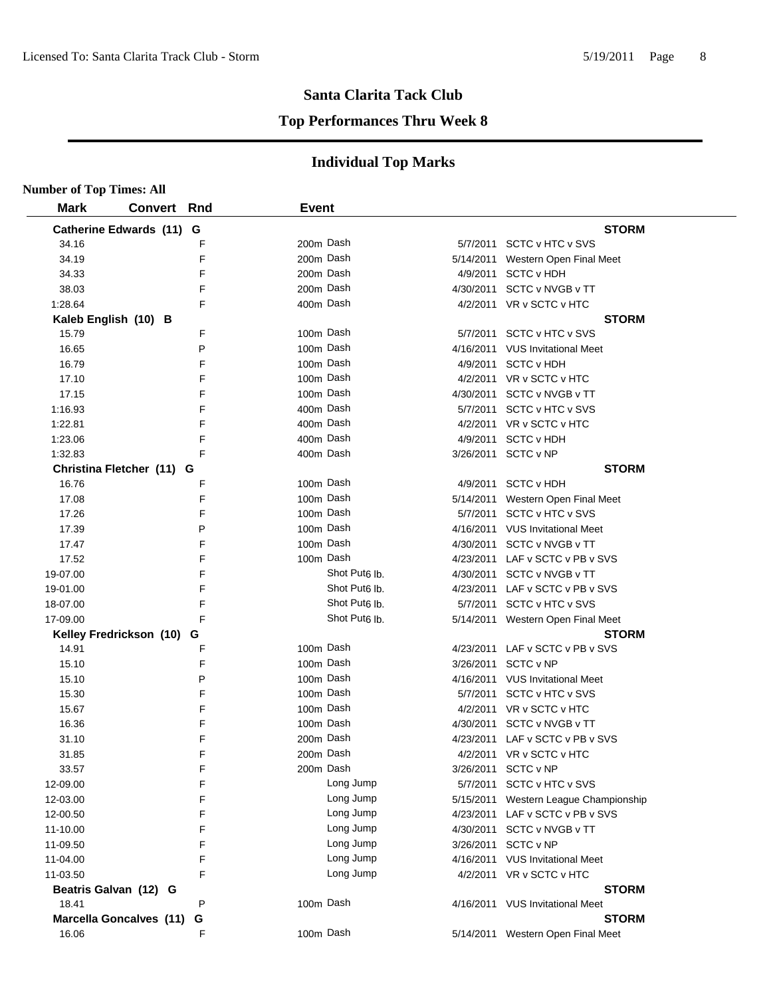#### **Top Performances Thru Week 8**

| <b>Number of Top Times: All</b> |                                |   |              |                           |           |                                       |
|---------------------------------|--------------------------------|---|--------------|---------------------------|-----------|---------------------------------------|
| <b>Mark</b>                     | <b>Convert Rnd</b>             |   | <b>Event</b> |                           |           |                                       |
|                                 | Catherine Edwards (11) G       |   |              |                           |           | <b>STORM</b>                          |
| 34.16                           |                                | F | 200m Dash    |                           |           | 5/7/2011 SCTC v HTC v SVS             |
| 34.19                           |                                | F | 200m Dash    |                           | 5/14/2011 | Western Open Final Meet               |
| 34.33                           |                                | F | 200m Dash    |                           |           | 4/9/2011 SCTC v HDH                   |
| 38.03                           |                                | F | 200m Dash    |                           |           | 4/30/2011 SCTC v NVGB v TT            |
| 1:28.64                         |                                | F | 400m Dash    |                           |           | 4/2/2011 VR v SCTC v HTC              |
|                                 | Kaleb English (10) B           |   |              |                           |           | <b>STORM</b>                          |
| 15.79                           |                                | F | 100m Dash    |                           |           | 5/7/2011 SCTC v HTC v SVS             |
| 16.65                           |                                | P | 100m Dash    |                           |           | 4/16/2011 VUS Invitational Meet       |
| 16.79                           |                                | F | 100m Dash    |                           |           | 4/9/2011 SCTC v HDH                   |
| 17.10                           |                                | F | 100m Dash    |                           |           | 4/2/2011 VR v SCTC v HTC              |
| 17.15                           |                                | F | 100m Dash    |                           |           | 4/30/2011 SCTC v NVGB v TT            |
| 1:16.93                         |                                | F | 400m Dash    |                           |           | 5/7/2011 SCTC v HTC v SVS             |
| 1:22.81                         |                                | F | 400m Dash    |                           |           | 4/2/2011 VR v SCTC v HTC              |
| 1:23.06                         |                                | F | 400m Dash    |                           |           | 4/9/2011 SCTC v HDH                   |
| 1:32.83                         |                                | F | 400m Dash    |                           |           | 3/26/2011 SCTC v NP                   |
|                                 | Christina Fletcher (11) G      |   |              |                           |           | <b>STORM</b>                          |
| 16.76                           |                                | F | 100m Dash    |                           |           | 4/9/2011 SCTC v HDH                   |
| 17.08                           |                                | F | 100m Dash    |                           |           | 5/14/2011 Western Open Final Meet     |
| 17.26                           |                                | F | 100m Dash    |                           |           | 5/7/2011 SCTC v HTC v SVS             |
| 17.39                           |                                | P | 100m Dash    |                           |           | 4/16/2011 VUS Invitational Meet       |
| 17.47                           |                                | F | 100m Dash    |                           |           | 4/30/2011 SCTC v NVGB v TT            |
| 17.52                           |                                | F | 100m Dash    |                           |           | 4/23/2011 LAF v SCTC v PB v SVS       |
| 19-07.00                        |                                | F |              | Shot Put <sub>6</sub> lb. |           | 4/30/2011 SCTC v NVGB v TT            |
| 19-01.00                        |                                | F |              | Shot Put <sub>6</sub> lb. |           | 4/23/2011 LAF v SCTC v PB v SVS       |
| 18-07.00                        |                                | F |              | Shot Put <sub>6</sub> lb. |           | 5/7/2011 SCTC v HTC v SVS             |
| 17-09.00                        |                                | F |              | Shot Put <sub>6</sub> lb. |           | 5/14/2011 Western Open Final Meet     |
|                                 | Kelley Fredrickson (10) G      |   |              |                           |           | <b>STORM</b>                          |
| 14.91                           |                                | F | 100m Dash    |                           |           | 4/23/2011 LAF v SCTC v PB v SVS       |
| 15.10                           |                                | F | 100m Dash    |                           |           | 3/26/2011 SCTC v NP                   |
| 15.10                           |                                | P | 100m Dash    |                           |           | 4/16/2011 VUS Invitational Meet       |
| 15.30                           |                                | F | 100m Dash    |                           |           | 5/7/2011 SCTC v HTC v SVS             |
| 15.67                           |                                | F | 100m Dash    |                           |           | 4/2/2011 VR v SCTC v HTC              |
| 16.36                           |                                | F | 100m Dash    |                           | 4/30/2011 | SCTC v NVGB v TT                      |
| 31.10                           |                                | F | 200m Dash    |                           |           | 4/23/2011 LAF v SCTC v PB v SVS       |
| 31.85                           |                                | F | 200m Dash    |                           |           | 4/2/2011 VR v SCTC v HTC              |
| 33.57                           |                                | F | 200m Dash    |                           |           | 3/26/2011 SCTC v NP                   |
| 12-09.00                        |                                | F |              | Long Jump                 |           | 5/7/2011 SCTC v HTC v SVS             |
| 12-03.00                        |                                | F |              | Long Jump                 |           | 5/15/2011 Western League Championship |
| 12-00.50                        |                                | F |              | Long Jump                 |           | 4/23/2011 LAF v SCTC v PB v SVS       |
| 11-10.00                        |                                | F |              | Long Jump                 |           | 4/30/2011 SCTC v NVGB v TT            |
| 11-09.50                        |                                | F |              | Long Jump                 |           | 3/26/2011 SCTC v NP                   |
| 11-04.00                        |                                | F |              | Long Jump                 |           | 4/16/2011 VUS Invitational Meet       |
| 11-03.50                        |                                | F |              | Long Jump                 |           | 4/2/2011 VR v SCTC v HTC              |
|                                 | Beatris Galvan (12) G          |   |              |                           |           | <b>STORM</b>                          |
| 18.41                           |                                | P | 100m Dash    |                           |           | 4/16/2011 VUS Invitational Meet       |
|                                 | <b>Marcella Goncalves (11)</b> | G |              |                           |           | <b>STORM</b>                          |
| 16.06                           |                                | F | 100m Dash    |                           |           | 5/14/2011 Western Open Final Meet     |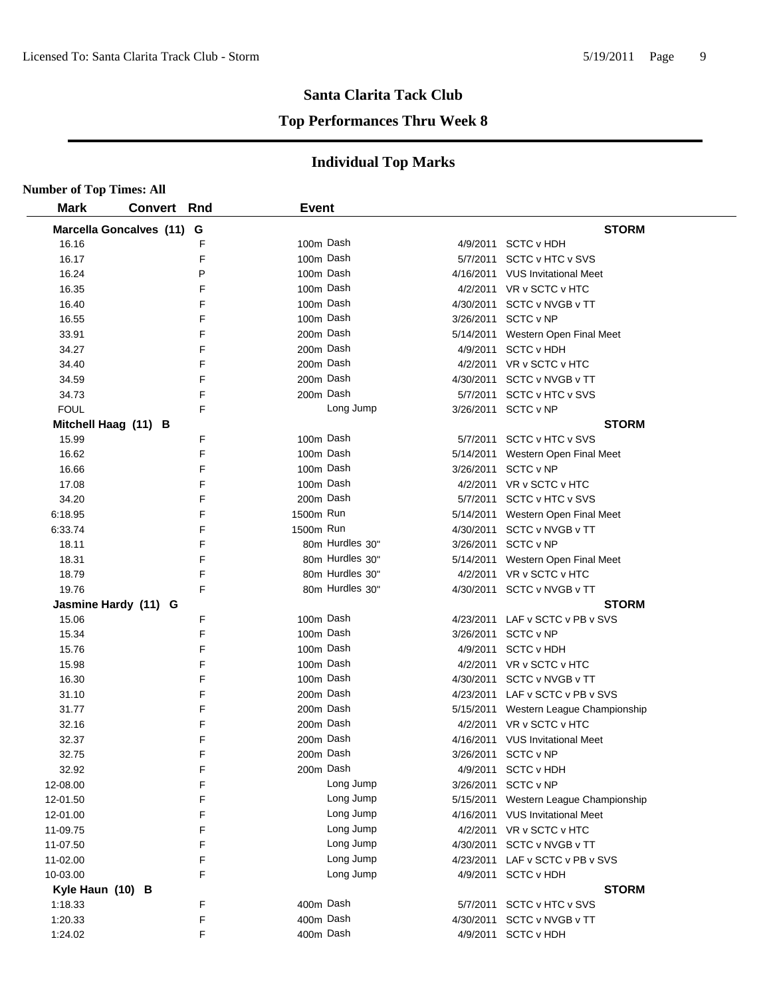#### **Top Performances Thru Week 8**

| <b>Number of Top Times: All</b> |                           |   |              |                 |                                       |
|---------------------------------|---------------------------|---|--------------|-----------------|---------------------------------------|
| <b>Mark</b>                     | <b>Convert Rnd</b>        |   | <b>Event</b> |                 |                                       |
|                                 | Marcella Goncalves (11) G |   |              |                 | <b>STORM</b>                          |
| 16.16                           |                           | F | 100m Dash    |                 | 4/9/2011 SCTC v HDH                   |
| 16.17                           |                           | F | 100m Dash    |                 | 5/7/2011 SCTC v HTC v SVS             |
| 16.24                           |                           | P | 100m Dash    |                 | 4/16/2011 VUS Invitational Meet       |
| 16.35                           |                           | F | 100m Dash    |                 | 4/2/2011 VR v SCTC v HTC              |
| 16.40                           |                           | F | 100m Dash    |                 | 4/30/2011 SCTC v NVGB v TT            |
| 16.55                           |                           | F | 100m Dash    |                 | 3/26/2011 SCTC v NP                   |
| 33.91                           |                           | F | 200m Dash    |                 | 5/14/2011 Western Open Final Meet     |
| 34.27                           |                           | F | 200m Dash    |                 | 4/9/2011 SCTC v HDH                   |
| 34.40                           |                           | F | 200m Dash    |                 | 4/2/2011 VR v SCTC v HTC              |
| 34.59                           |                           | F | 200m Dash    |                 | 4/30/2011 SCTC v NVGB v TT            |
| 34.73                           |                           | F | 200m Dash    |                 | 5/7/2011 SCTC v HTC v SVS             |
| <b>FOUL</b>                     |                           | F |              | Long Jump       | 3/26/2011 SCTC v NP                   |
|                                 | Mitchell Haag (11) B      |   |              |                 | <b>STORM</b>                          |
| 15.99                           |                           | F | 100m Dash    |                 | 5/7/2011 SCTC v HTC v SVS             |
| 16.62                           |                           | F | 100m Dash    |                 | 5/14/2011 Western Open Final Meet     |
| 16.66                           |                           | F | 100m Dash    |                 | 3/26/2011 SCTC v NP                   |
| 17.08                           |                           | F | 100m Dash    |                 | 4/2/2011 VR v SCTC v HTC              |
| 34.20                           |                           | F | 200m Dash    |                 | 5/7/2011 SCTC v HTC v SVS             |
| 6:18.95                         |                           | F | 1500m Run    |                 | 5/14/2011 Western Open Final Meet     |
| 6:33.74                         |                           | F | 1500m Run    |                 | 4/30/2011 SCTC v NVGB v TT            |
| 18.11                           |                           | F |              | 80m Hurdles 30" | 3/26/2011 SCTC v NP                   |
| 18.31                           |                           | F |              | 80m Hurdles 30" | 5/14/2011 Western Open Final Meet     |
| 18.79                           |                           | F |              | 80m Hurdles 30" | 4/2/2011 VR v SCTC v HTC              |
| 19.76                           |                           | F |              | 80m Hurdles 30" | 4/30/2011 SCTC v NVGB v TT            |
|                                 | Jasmine Hardy (11) G      |   |              |                 | <b>STORM</b>                          |
| 15.06                           |                           | F | 100m Dash    |                 | 4/23/2011 LAF v SCTC v PB v SVS       |
| 15.34                           |                           | F | 100m Dash    |                 | 3/26/2011 SCTC v NP                   |
| 15.76                           |                           | F | 100m Dash    |                 | 4/9/2011 SCTC v HDH                   |
| 15.98                           |                           | F | 100m Dash    |                 | 4/2/2011 VR v SCTC v HTC              |
| 16.30                           |                           | F | 100m Dash    |                 | 4/30/2011 SCTC v NVGB v TT            |
| 31.10                           |                           | F | 200m Dash    |                 | 4/23/2011 LAF v SCTC v PB v SVS       |
| 31.77                           |                           | F | 200m Dash    |                 | 5/15/2011 Western League Championship |
| 32.16                           |                           | F | 200m Dash    |                 | 4/2/2011 VR v SCTC v HTC              |
| 32.37                           |                           | F | 200m Dash    |                 | 4/16/2011 VUS Invitational Meet       |
| 32.75                           |                           | F | 200m Dash    |                 | 3/26/2011 SCTC v NP                   |
| 32.92                           |                           | F | 200m Dash    |                 | 4/9/2011 SCTC v HDH                   |
| 12-08.00                        |                           | F |              | Long Jump       | 3/26/2011 SCTC v NP                   |
| 12-01.50                        |                           | F |              | Long Jump       | 5/15/2011 Western League Championship |
| 12-01.00                        |                           | F |              | Long Jump       | 4/16/2011 VUS Invitational Meet       |
| 11-09.75                        |                           | F |              | Long Jump       | 4/2/2011 VR v SCTC v HTC              |
| 11-07.50                        |                           | F |              | Long Jump       | 4/30/2011 SCTC v NVGB v TT            |
| 11-02.00                        |                           | F |              | Long Jump       | 4/23/2011 LAF v SCTC v PB v SVS       |
| 10-03.00                        |                           | F |              | Long Jump       | 4/9/2011 SCTC v HDH                   |
| Kyle Haun (10) B                |                           |   |              |                 | <b>STORM</b>                          |
| 1:18.33                         |                           | F | 400m Dash    |                 | 5/7/2011 SCTC v HTC v SVS             |
| 1:20.33                         |                           | F | 400m Dash    |                 | 4/30/2011 SCTC v NVGB v TT            |
| 1:24.02                         |                           | F | 400m Dash    |                 | 4/9/2011 SCTC v HDH                   |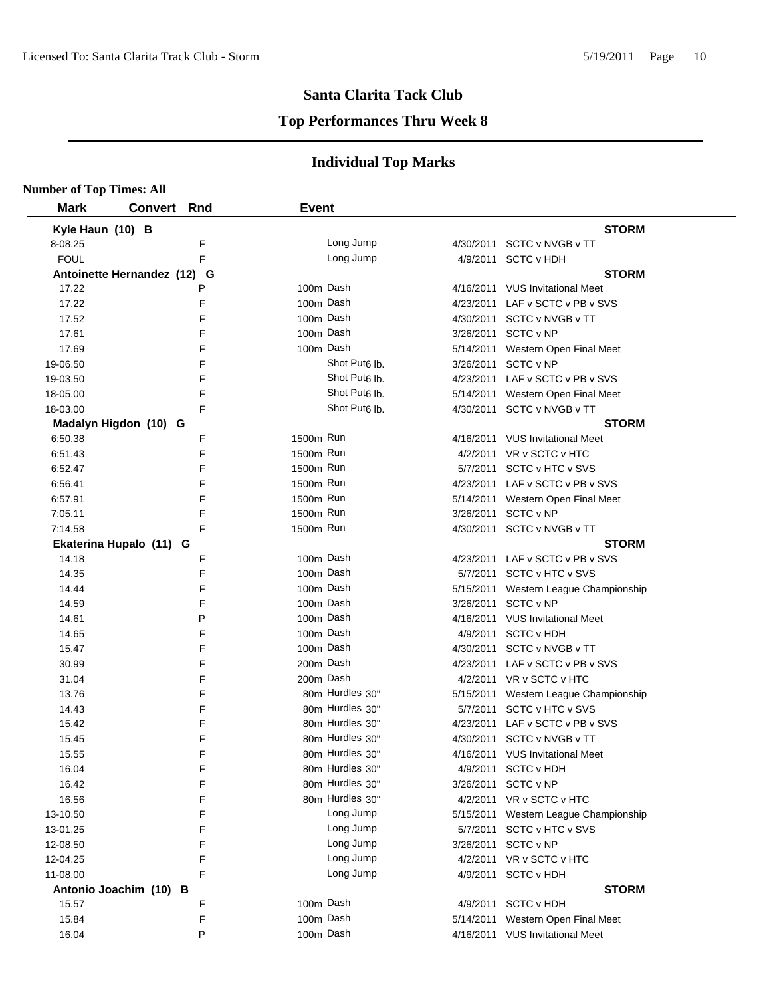**Number of Top Times: All**

#### **Santa Clarita Tack Club**

#### **Top Performances Thru Week 8**

| <b>Mark</b>                 | <b>Convert Rnd</b> | <b>Event</b> |                           |           |                                       |
|-----------------------------|--------------------|--------------|---------------------------|-----------|---------------------------------------|
| Kyle Haun (10) B            |                    |              |                           |           | <b>STORM</b>                          |
| 8-08.25                     | F                  |              | Long Jump                 |           | 4/30/2011 SCTC v NVGB v TT            |
| <b>FOUL</b>                 | F                  |              | Long Jump                 |           | 4/9/2011 SCTC v HDH                   |
| Antoinette Hernandez (12) G |                    |              |                           |           | <b>STORM</b>                          |
| 17.22                       | P                  | 100m Dash    |                           |           | 4/16/2011 VUS Invitational Meet       |
| 17.22                       | F                  | 100m Dash    |                           |           | 4/23/2011 LAF v SCTC v PB v SVS       |
| 17.52                       | F                  | 100m Dash    |                           |           | 4/30/2011 SCTC v NVGB v TT            |
| 17.61                       | F                  | 100m Dash    |                           |           | 3/26/2011 SCTC v NP                   |
| 17.69                       | F                  | 100m Dash    |                           |           | 5/14/2011 Western Open Final Meet     |
| 19-06.50                    | F                  |              | Shot Put <sub>6</sub> lb. |           | 3/26/2011 SCTC v NP                   |
| 19-03.50                    | F                  |              | Shot Put <sub>6</sub> lb. |           | 4/23/2011 LAF v SCTC v PB v SVS       |
| 18-05.00                    | F                  |              | Shot Put <sub>6</sub> lb. |           | 5/14/2011 Western Open Final Meet     |
| 18-03.00                    | F                  |              | Shot Put <sub>6</sub> lb. |           | 4/30/2011 SCTC v NVGB v TT            |
| Madalyn Higdon (10) G       |                    |              |                           |           | <b>STORM</b>                          |
| 6:50.38                     | F                  | 1500m Run    |                           |           | 4/16/2011 VUS Invitational Meet       |
| 6:51.43                     | F                  | 1500m Run    |                           |           | 4/2/2011 VR v SCTC v HTC              |
| 6:52.47                     | F                  | 1500m Run    |                           |           | 5/7/2011 SCTC v HTC v SVS             |
| 6.56.41                     | F                  | 1500m Run    |                           |           | 4/23/2011 LAF v SCTC v PB v SVS       |
| 6:57.91                     | F                  | 1500m Run    |                           |           | 5/14/2011 Western Open Final Meet     |
| 7:05.11                     | F                  | 1500m Run    |                           |           | 3/26/2011 SCTC v NP                   |
| 7:14.58                     | F                  | 1500m Run    |                           |           | 4/30/2011 SCTC v NVGB v TT            |
| Ekaterina Hupalo (11) G     |                    |              |                           |           | <b>STORM</b>                          |
| 14.18                       | F                  | 100m Dash    |                           |           | 4/23/2011 LAF v SCTC v PB v SVS       |
| 14.35                       | F                  | 100m Dash    |                           |           | 5/7/2011 SCTC v HTC v SVS             |
| 14.44                       | F                  | 100m Dash    |                           | 5/15/2011 | Western League Championship           |
| 14.59                       | F                  | 100m Dash    |                           | 3/26/2011 | SCTC v NP                             |
| 14.61                       | P                  | 100m Dash    |                           |           | 4/16/2011 VUS Invitational Meet       |
| 14.65                       | F                  | 100m Dash    |                           |           | 4/9/2011 SCTC v HDH                   |
| 15.47                       | F                  | 100m Dash    |                           |           | 4/30/2011 SCTC v NVGB v TT            |
| 30.99                       | F                  | 200m Dash    |                           |           | 4/23/2011 LAF v SCTC v PB v SVS       |
| 31.04                       | F                  | 200m Dash    |                           |           | 4/2/2011 VR v SCTC v HTC              |
| 13.76                       | F                  |              | 80m Hurdles 30"           |           | 5/15/2011 Western League Championship |
| 14.43                       | F                  |              | 80m Hurdles 30"           |           | 5/7/2011 SCTC v HTC v SVS             |
| 15.42                       | F                  |              | 80m Hurdles 30"           |           | 4/23/2011 LAF v SCTC v PB v SVS       |
| 15.45                       | F                  |              | 80m Hurdles 30"           | 4/30/2011 | SCTC v NVGB v TT                      |
| 15.55                       | F                  |              | 80m Hurdles 30"           |           | 4/16/2011 VUS Invitational Meet       |
|                             | F                  |              | 80m Hurdles 30"           |           | 4/9/2011 SCTC v HDH                   |
| 16.04                       |                    |              | 80m Hurdles 30"           |           |                                       |
| 16.42                       | F                  |              | 80m Hurdles 30"           | 3/26/2011 | SCTC v NP                             |
| 16.56                       | F                  |              | Long Jump                 |           | 4/2/2011 VR v SCTC v HTC              |
| 13-10.50                    | F                  |              |                           |           | 5/15/2011 Western League Championship |
| 13-01.25                    | F                  |              | Long Jump                 |           | 5/7/2011 SCTC v HTC v SVS             |
| 12-08.50                    | F                  |              | Long Jump                 | 3/26/2011 | SCTC v NP                             |
| 12-04.25                    | F                  |              | Long Jump                 |           | 4/2/2011 VR v SCTC v HTC              |
| 11-08.00                    | F                  |              | Long Jump                 |           | 4/9/2011 SCTC v HDH                   |
| Antonio Joachim (10) B      |                    |              |                           |           | <b>STORM</b>                          |
| 15.57                       | F                  | 100m Dash    |                           |           | 4/9/2011 SCTC v HDH                   |
| 15.84                       | F                  | 100m Dash    |                           |           | 5/14/2011 Western Open Final Meet     |
| 16.04                       | P                  | 100m Dash    |                           |           | 4/16/2011 VUS Invitational Meet       |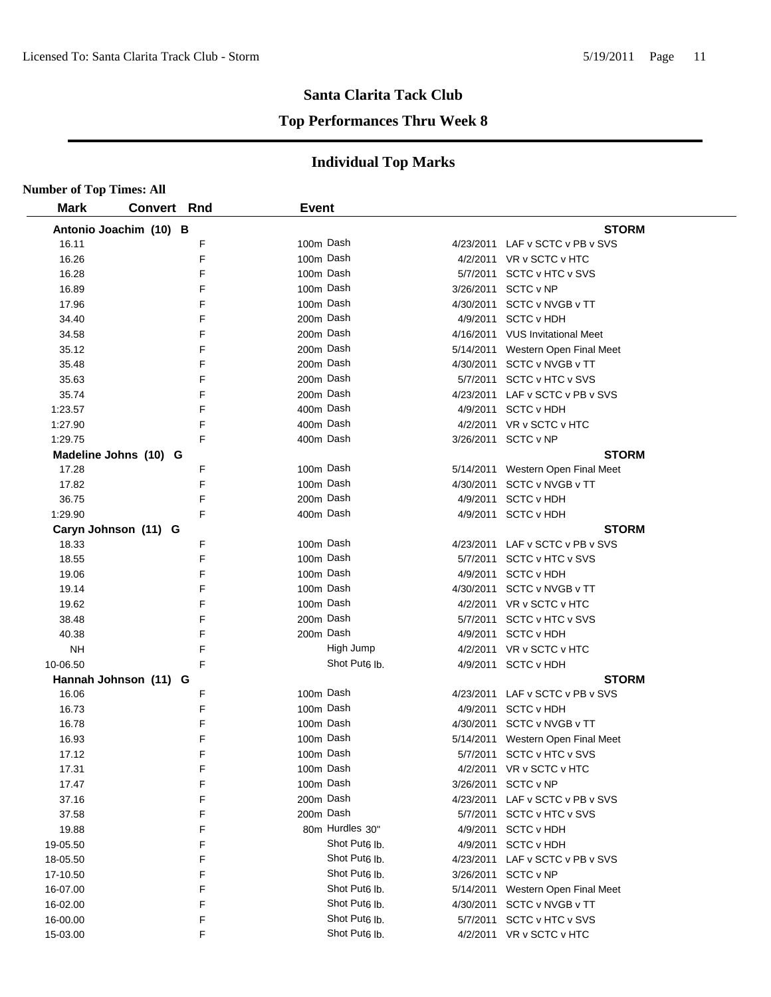#### **Top Performances Thru Week 8**

| <b>Number of Top Times: All</b> |                        |   |              |                           |                                   |  |
|---------------------------------|------------------------|---|--------------|---------------------------|-----------------------------------|--|
| <b>Mark</b>                     | <b>Convert Rnd</b>     |   | <b>Event</b> |                           |                                   |  |
|                                 | Antonio Joachim (10) B |   |              |                           | <b>STORM</b>                      |  |
| 16.11                           |                        | F |              | 100m Dash                 | 4/23/2011 LAF v SCTC v PB v SVS   |  |
| 16.26                           |                        | F |              | 100m Dash                 | 4/2/2011 VR v SCTC v HTC          |  |
| 16.28                           |                        | F |              | 100m Dash                 | 5/7/2011 SCTC v HTC v SVS         |  |
| 16.89                           |                        | F |              | 100m Dash                 | 3/26/2011 SCTC v NP               |  |
| 17.96                           |                        | F |              | 100m Dash                 | 4/30/2011 SCTC v NVGB v TT        |  |
| 34.40                           |                        | F |              | 200m Dash                 | 4/9/2011 SCTC v HDH               |  |
| 34.58                           |                        | F |              | 200m Dash                 | 4/16/2011 VUS Invitational Meet   |  |
| 35.12                           |                        | F |              | 200m Dash                 | 5/14/2011 Western Open Final Meet |  |
| 35.48                           |                        | F |              | 200m Dash                 | 4/30/2011 SCTC v NVGB v TT        |  |
| 35.63                           |                        | F |              | 200m Dash                 | 5/7/2011 SCTC v HTC v SVS         |  |
| 35.74                           |                        | F |              | 200m Dash                 | 4/23/2011 LAF v SCTC v PB v SVS   |  |
| 1:23.57                         |                        | F |              | 400m Dash                 | 4/9/2011 SCTC v HDH               |  |
| 1:27.90                         |                        | F |              | 400m Dash                 | 4/2/2011 VR v SCTC v HTC          |  |
| 1:29.75                         |                        | F |              | 400m Dash                 | 3/26/2011 SCTC v NP               |  |
|                                 | Madeline Johns (10) G  |   |              |                           | <b>STORM</b>                      |  |
| 17.28                           |                        | F |              | 100m Dash                 | 5/14/2011 Western Open Final Meet |  |
| 17.82                           |                        | F |              | 100m Dash                 | 4/30/2011 SCTC v NVGB v TT        |  |
| 36.75                           |                        | F |              | 200m Dash                 | 4/9/2011 SCTC v HDH               |  |
| 1:29.90                         |                        | F |              | 400m Dash                 | 4/9/2011 SCTC v HDH               |  |
|                                 | Caryn Johnson (11) G   |   |              |                           | <b>STORM</b>                      |  |
| 18.33                           |                        | F |              | 100m Dash                 | 4/23/2011 LAF v SCTC v PB v SVS   |  |
| 18.55                           |                        | F |              | 100m Dash                 | 5/7/2011 SCTC v HTC v SVS         |  |
| 19.06                           |                        | F |              | 100m Dash                 | 4/9/2011 SCTC v HDH               |  |
| 19.14                           |                        | F |              | 100m Dash                 | 4/30/2011 SCTC v NVGB v TT        |  |
| 19.62                           |                        | F |              | 100m Dash                 | 4/2/2011 VR v SCTC v HTC          |  |
| 38.48                           |                        | F |              | 200m Dash                 | 5/7/2011 SCTC v HTC v SVS         |  |
| 40.38                           |                        | F |              | 200m Dash                 | 4/9/2011 SCTC v HDH               |  |
| <b>NH</b>                       |                        | F |              | High Jump                 | 4/2/2011 VR v SCTC v HTC          |  |
| 10-06.50                        |                        | F |              | Shot Put <sub>6</sub> lb. | 4/9/2011 SCTC v HDH               |  |
|                                 | Hannah Johnson (11) G  |   |              |                           | <b>STORM</b>                      |  |
| 16.06                           |                        | F |              | 100m Dash                 | 4/23/2011 LAF v SCTC v PB v SVS   |  |
| 16.73                           |                        | F |              | 100m Dash                 | 4/9/2011 SCTC v HDH               |  |
| 16.78                           |                        | F |              | 100m Dash                 | 4/30/2011 SCTC v NVGB v TT        |  |
| 16.93                           |                        | F |              | 100m Dash                 | 5/14/2011 Western Open Final Meet |  |
| 17.12                           |                        | F |              | 100m Dash                 | 5/7/2011 SCTC v HTC v SVS         |  |
| 17.31                           |                        | F |              | 100m Dash                 | 4/2/2011 VR v SCTC v HTC          |  |
| 17.47                           |                        | F |              | 100m Dash                 | 3/26/2011 SCTC v NP               |  |
| 37.16                           |                        | F |              | 200m Dash                 | 4/23/2011 LAF v SCTC v PB v SVS   |  |
| 37.58                           |                        | F |              | 200m Dash                 | 5/7/2011 SCTC v HTC v SVS         |  |
| 19.88                           |                        | F |              | 80m Hurdles 30"           | 4/9/2011 SCTC v HDH               |  |
| 19-05.50                        |                        | F |              | Shot Put <sub>6</sub> lb. | 4/9/2011 SCTC v HDH               |  |
| 18-05.50                        |                        | F |              | Shot Put <sub>6</sub> lb. | 4/23/2011 LAF v SCTC v PB v SVS   |  |
| 17-10.50                        |                        | F |              | Shot Put <sub>6</sub> lb. | 3/26/2011 SCTC v NP               |  |
| 16-07.00                        |                        | F |              | Shot Put <sub>6</sub> lb. | 5/14/2011 Western Open Final Meet |  |
| 16-02.00                        |                        | F |              | Shot Put <sub>6</sub> lb. | 4/30/2011 SCTC v NVGB v TT        |  |
| 16-00.00                        |                        | F |              | Shot Put <sub>6</sub> lb. | 5/7/2011 SCTC v HTC v SVS         |  |
| 15-03.00                        |                        | F |              | Shot Put <sub>6</sub> lb. | 4/2/2011 VR v SCTC v HTC          |  |
|                                 |                        |   |              |                           |                                   |  |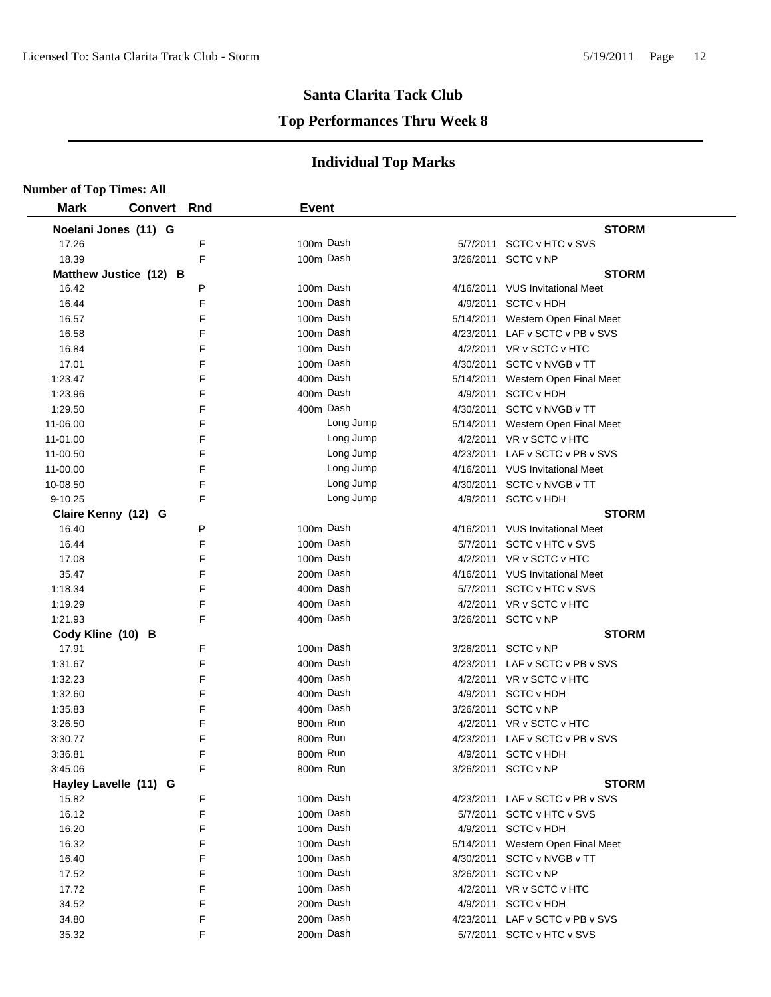#### **Top Performances Thru Week 8**

| <b>Number of Top Times: All</b> |                |        |                      |           |           |                                     |
|---------------------------------|----------------|--------|----------------------|-----------|-----------|-------------------------------------|
| <b>Mark</b>                     | <b>Convert</b> | Rnd    | <b>Event</b>         |           |           |                                     |
| Noelani Jones (11) G            |                |        |                      |           |           | <b>STORM</b>                        |
| 17.26                           |                | F      | 100m Dash            |           |           | 5/7/2011 SCTC v HTC v SVS           |
| 18.39                           |                | F      | 100m Dash            |           |           | 3/26/2011 SCTC v NP                 |
| Matthew Justice (12) B          |                |        |                      |           |           | <b>STORM</b>                        |
| 16.42                           |                | P      | 100m Dash            |           |           | 4/16/2011 VUS Invitational Meet     |
| 16.44                           |                | F      | 100m Dash            |           |           | 4/9/2011 SCTC v HDH                 |
| 16.57                           |                | F      | 100m Dash            |           |           | 5/14/2011 Western Open Final Meet   |
| 16.58                           |                | F      | 100m Dash            |           |           | 4/23/2011 LAF v SCTC v PB v SVS     |
| 16.84                           |                | F      | 100m Dash            |           |           | 4/2/2011 VR v SCTC v HTC            |
| 17.01                           |                | F      | 100m Dash            |           |           | 4/30/2011 SCTC v NVGB v TT          |
| 1:23.47                         |                | F      | 400m Dash            |           |           | 5/14/2011 Western Open Final Meet   |
| 1:23.96                         |                | F      | 400m Dash            |           |           | 4/9/2011 SCTC v HDH                 |
| 1:29.50                         |                | F      | 400m Dash            |           |           | 4/30/2011 SCTC v NVGB v TT          |
| 11-06.00                        |                | F      |                      | Long Jump | 5/14/2011 | Western Open Final Meet             |
| 11-01.00                        |                | F      |                      | Long Jump |           | 4/2/2011 VR v SCTC v HTC            |
| 11-00.50                        |                | F      |                      | Long Jump |           | 4/23/2011 LAF v SCTC v PB v SVS     |
| 11-00.00                        |                | F      |                      | Long Jump |           | 4/16/2011 VUS Invitational Meet     |
| 10-08.50                        |                | F      |                      | Long Jump |           | 4/30/2011 SCTC v NVGB v TT          |
| $9 - 10.25$                     |                | F      |                      | Long Jump |           | 4/9/2011 SCTC v HDH                 |
| Claire Kenny (12) G             |                |        |                      |           |           | <b>STORM</b>                        |
| 16.40                           |                | P      | 100m Dash            |           |           | 4/16/2011 VUS Invitational Meet     |
| 16.44                           |                | F      | 100m Dash            |           |           | 5/7/2011 SCTC v HTC v SVS           |
| 17.08                           |                | F      | 100m Dash            |           |           | 4/2/2011 VR v SCTC v HTC            |
| 35.47                           |                | F      | 200m Dash            |           |           | 4/16/2011 VUS Invitational Meet     |
| 1:18.34                         |                | F      | 400m Dash            |           |           | 5/7/2011 SCTC v HTC v SVS           |
| 1:19.29                         |                | F      | 400m Dash            |           |           | 4/2/2011 VR v SCTC v HTC            |
| 1:21.93                         |                | F      | 400m Dash            |           |           | 3/26/2011 SCTC v NP                 |
| Cody Kline (10) B               |                |        |                      |           |           | <b>STORM</b>                        |
| 17.91                           |                | F      | 100m Dash            |           |           | 3/26/2011 SCTC v NP                 |
| 1:31.67                         |                | F      | 400m Dash            |           |           | 4/23/2011 LAF v SCTC v PB v SVS     |
| 1:32.23                         |                | F      | 400m Dash            |           |           | 4/2/2011 VR v SCTC v HTC            |
| 1:32.60                         |                | F      | 400m Dash            |           |           | 4/9/2011 SCTC v HDH                 |
| 1:35.83                         |                | F      | 400m Dash            |           |           | 3/26/2011 SCTC v NP                 |
| 3:26.50                         |                | F      | 800m Run             |           |           | 4/2/2011 VR v SCTC v HTC            |
| 3:30.77                         |                | F      | 800m Run<br>800m Run |           |           | 4/23/2011 LAF v SCTC v PB v SVS     |
| 3:36.81                         |                | F<br>F | 800m Run             |           |           | 4/9/2011 SCTC v HDH                 |
| 3:45.06                         |                |        |                      |           |           | 3/26/2011 SCTC v NP<br><b>STORM</b> |
| Hayley Lavelle (11) G<br>15.82  |                | F      | 100m Dash            |           |           | 4/23/2011 LAF v SCTC v PB v SVS     |
| 16.12                           |                | F      | 100m Dash            |           |           | 5/7/2011 SCTC v HTC v SVS           |
| 16.20                           |                | F      | 100m Dash            |           |           | 4/9/2011 SCTC v HDH                 |
| 16.32                           |                | F      | 100m Dash            |           |           | 5/14/2011 Western Open Final Meet   |
| 16.40                           |                | F      | 100m Dash            |           |           | 4/30/2011 SCTC v NVGB v TT          |
| 17.52                           |                | F      | 100m Dash            |           |           | 3/26/2011 SCTC v NP                 |
| 17.72                           |                | F      | 100m Dash            |           |           | 4/2/2011 VR v SCTC v HTC            |
| 34.52                           |                | F      | 200m Dash            |           | 4/9/2011  | <b>SCTC v HDH</b>                   |
| 34.80                           |                | F      | 200m Dash            |           |           | 4/23/2011 LAF v SCTC v PB v SVS     |
| 35.32                           |                | F      | 200m Dash            |           |           | 5/7/2011 SCTC v HTC v SVS           |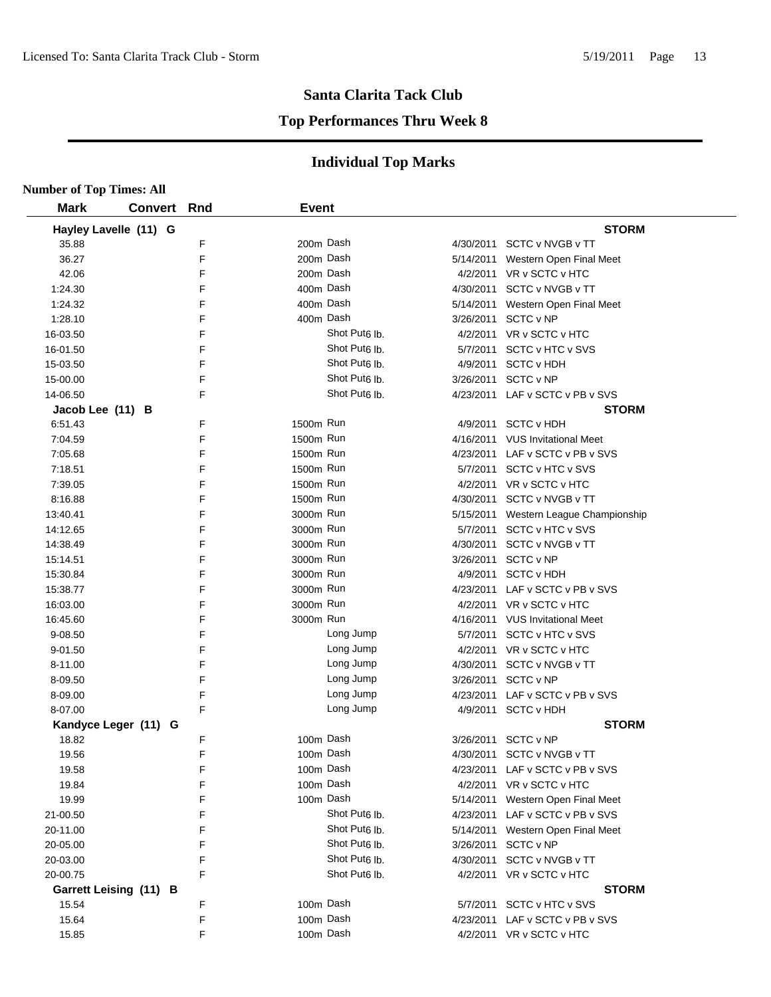#### **Top Performances Thru Week 8**

| <b>Number of Top Times: All</b> |     |                           |           |                                       |
|---------------------------------|-----|---------------------------|-----------|---------------------------------------|
| <b>Mark</b><br><b>Convert</b>   | Rnd | <b>Event</b>              |           |                                       |
| Hayley Lavelle (11) G           |     |                           |           | <b>STORM</b>                          |
| 35.88                           | F   | 200m Dash                 |           | 4/30/2011 SCTC v NVGB v TT            |
| 36.27                           | F   | 200m Dash                 |           | 5/14/2011 Western Open Final Meet     |
| 42.06                           | F   | 200m Dash                 |           | 4/2/2011 VR v SCTC v HTC              |
| 1:24.30                         | F   | 400m Dash                 |           | 4/30/2011 SCTC v NVGB v TT            |
| 1:24.32                         | F   | 400m Dash                 |           | 5/14/2011 Western Open Final Meet     |
| 1:28.10                         | F   | 400m Dash                 |           | 3/26/2011 SCTC v NP                   |
| 16-03.50                        | F   | Shot Put <sub>6</sub> lb. |           | 4/2/2011 VR v SCTC v HTC              |
| 16-01.50                        | F   | Shot Put <sub>6</sub> lb. |           | 5/7/2011 SCTC v HTC v SVS             |
| 15-03.50                        | F   | Shot Put <sub>6</sub> lb. |           | 4/9/2011 SCTC v HDH                   |
| 15-00.00                        | F   | Shot Put <sub>6</sub> lb. |           | 3/26/2011 SCTC v NP                   |
| 14-06.50                        | F   | Shot Put <sub>6</sub> lb. |           | 4/23/2011 LAF v SCTC v PB v SVS       |
| Jacob Lee (11) B                |     |                           |           | <b>STORM</b>                          |
| 6:51.43                         | F   | 1500m Run                 |           | 4/9/2011 SCTC v HDH                   |
| 7:04.59                         | F   | 1500m Run                 |           | 4/16/2011 VUS Invitational Meet       |
| 7:05.68                         | F   | 1500m Run                 |           | 4/23/2011 LAF v SCTC v PB v SVS       |
| 7:18.51                         | F   | 1500m Run                 |           | 5/7/2011 SCTC v HTC v SVS             |
| 7:39.05                         | F   | 1500m Run                 |           | 4/2/2011 VR v SCTC v HTC              |
| 8:16.88                         | F   | 1500m Run                 |           | 4/30/2011 SCTC v NVGB v TT            |
| 13:40.41                        | F   | 3000m Run                 |           | 5/15/2011 Western League Championship |
| 14:12.65                        | F   | 3000m Run                 |           | 5/7/2011 SCTC v HTC v SVS             |
| 14:38.49                        | F   | 3000m Run                 |           | 4/30/2011 SCTC v NVGB v TT            |
| 15:14.51                        | F   | 3000m Run                 |           | 3/26/2011 SCTC v NP                   |
| 15:30.84                        | F   | 3000m Run                 |           | 4/9/2011 SCTC v HDH                   |
| 15:38.77                        | F   | 3000m Run                 |           | 4/23/2011 LAF v SCTC v PB v SVS       |
| 16:03.00                        | F   | 3000m Run                 |           | 4/2/2011 VR v SCTC v HTC              |
| 16:45.60                        | F   | 3000m Run                 |           | 4/16/2011 VUS Invitational Meet       |
| 9-08.50                         | F   | Long Jump                 |           | 5/7/2011 SCTC v HTC v SVS             |
| 9-01.50                         | F   | Long Jump                 |           | 4/2/2011 VR v SCTC v HTC              |
| 8-11.00                         | F   | Long Jump                 | 4/30/2011 | SCTC v NVGB v TT                      |
| 8-09.50                         | F   | Long Jump                 |           | 3/26/2011 SCTC v NP                   |
| 8-09.00                         | F   | Long Jump                 | 4/23/2011 | LAF v SCTC v PB v SVS                 |
| 8-07.00                         | F   | Long Jump                 |           | 4/9/2011 SCTC v HDH                   |
| Kandyce Leger (11) G            |     |                           |           | <b>STORM</b>                          |
| 18.82                           | F   | 100m Dash                 | 3/26/2011 | SCTC v NP                             |
| 19.56                           | F   | 100m Dash                 |           | 4/30/2011 SCTC v NVGB v TT            |
| 19.58                           | F   | 100m Dash                 |           | 4/23/2011 LAF v SCTC v PB v SVS       |
| 19.84                           | F   | 100m Dash                 |           | 4/2/2011 VR v SCTC v HTC              |
| 19.99                           | F   | 100m Dash                 |           | 5/14/2011 Western Open Final Meet     |
| 21-00.50                        | F   | Shot Put <sub>6</sub> lb. |           | 4/23/2011 LAF v SCTC v PB v SVS       |
| 20-11.00                        | F   | Shot Put <sub>6</sub> lb. |           | 5/14/2011 Western Open Final Meet     |
| 20-05.00                        | F   | Shot Put <sub>6</sub> lb. | 3/26/2011 | SCTC v NP                             |
| 20-03.00                        | F   | Shot Put6 lb.             | 4/30/2011 | SCTC v NVGB v TT                      |
| 20-00.75                        | F   | Shot Put6 lb.             | 4/2/2011  | VR v SCTC v HTC                       |
| Garrett Leising (11) B          |     |                           |           | <b>STORM</b>                          |
| 15.54                           | F   | 100m Dash                 |           | 5/7/2011 SCTC v HTC v SVS             |
| 15.64                           | F   | 100m Dash                 |           | 4/23/2011 LAF v SCTC v PB v SVS       |
| 15.85                           | F   | 100m Dash                 |           | 4/2/2011 VR v SCTC v HTC              |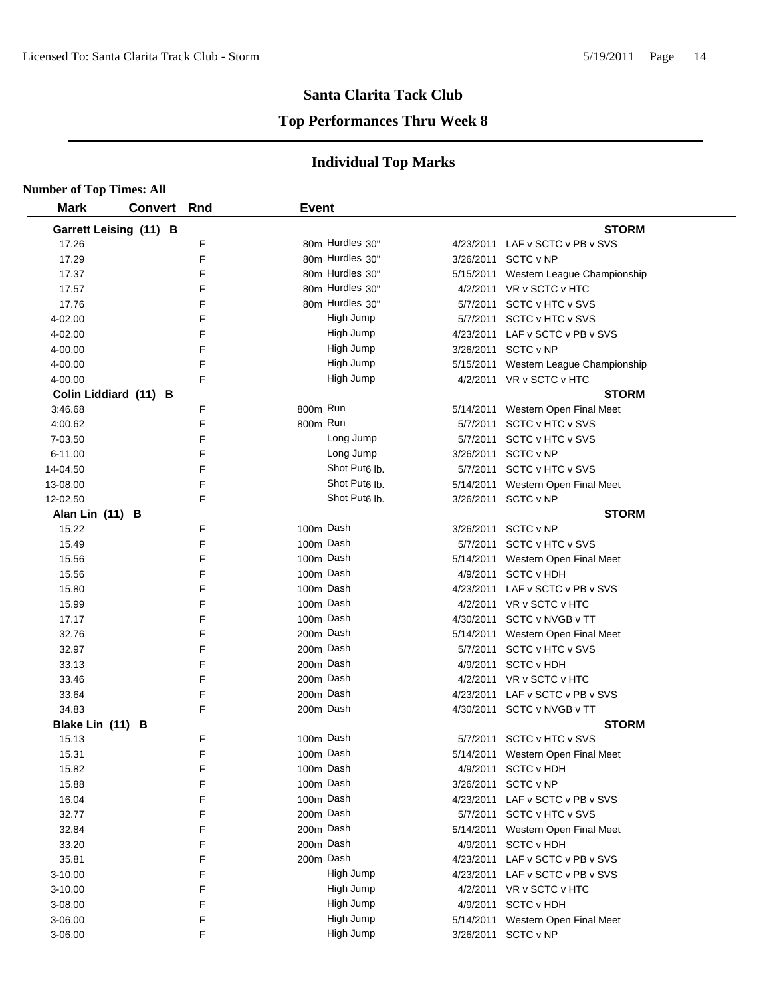#### **Top Performances Thru Week 8**

| <b>Number of Top Times: All</b> |                |     |              |                           |                                       |  |
|---------------------------------|----------------|-----|--------------|---------------------------|---------------------------------------|--|
| <b>Mark</b>                     | <b>Convert</b> | Rnd | <b>Event</b> |                           |                                       |  |
| Garrett Leising (11) B          |                |     |              |                           | <b>STORM</b>                          |  |
| 17.26                           |                | F   |              | 80m Hurdles 30"           | 4/23/2011 LAF v SCTC v PB v SVS       |  |
| 17.29                           |                | F   |              | 80m Hurdles 30"           | 3/26/2011 SCTC v NP                   |  |
| 17.37                           |                | F   |              | 80m Hurdles 30"           | 5/15/2011 Western League Championship |  |
| 17.57                           |                | F   |              | 80m Hurdles 30"           | 4/2/2011 VR v SCTC v HTC              |  |
| 17.76                           |                | F   |              | 80m Hurdles 30"           | 5/7/2011 SCTC v HTC v SVS             |  |
| 4-02.00                         |                | F   |              | High Jump                 | 5/7/2011 SCTC v HTC v SVS             |  |
| 4-02.00                         |                | F   |              | High Jump                 | 4/23/2011 LAF v SCTC v PB v SVS       |  |
| 4-00.00                         |                | F   |              | High Jump                 | 3/26/2011 SCTC v NP                   |  |
| 4-00.00                         |                | F   |              | High Jump                 | 5/15/2011 Western League Championship |  |
| 4-00.00                         |                | F   |              | High Jump                 | 4/2/2011 VR v SCTC v HTC              |  |
| Colin Liddiard (11) B           |                |     |              |                           | <b>STORM</b>                          |  |
| 3:46.68                         |                | F   | 800m Run     |                           | 5/14/2011 Western Open Final Meet     |  |
| 4:00.62                         |                | F   | 800m Run     |                           | 5/7/2011 SCTC v HTC v SVS             |  |
| 7-03.50                         |                | F   |              | Long Jump                 | 5/7/2011 SCTC v HTC v SVS             |  |
| 6-11.00                         |                | F   |              | Long Jump                 | 3/26/2011 SCTC v NP                   |  |
| 14-04.50                        |                | F   |              | Shot Put <sub>6</sub> lb. | 5/7/2011 SCTC v HTC v SVS             |  |
| 13-08.00                        |                | F   |              | Shot Put <sub>6</sub> Ib. | 5/14/2011 Western Open Final Meet     |  |
| 12-02.50                        |                | F   |              | Shot Put <sub>6</sub> lb. | 3/26/2011 SCTC v NP                   |  |
| Alan Lin (11) B                 |                |     |              |                           | <b>STORM</b>                          |  |
| 15.22                           |                | F   | 100m Dash    |                           | 3/26/2011 SCTC v NP                   |  |
| 15.49                           |                | F   | 100m Dash    |                           | 5/7/2011 SCTC v HTC v SVS             |  |
| 15.56                           |                | F   | 100m Dash    |                           | 5/14/2011 Western Open Final Meet     |  |
| 15.56                           |                | F   | 100m Dash    |                           | 4/9/2011 SCTC v HDH                   |  |
| 15.80                           |                | F   | 100m Dash    |                           | 4/23/2011 LAF v SCTC v PB v SVS       |  |
| 15.99                           |                | F   | 100m Dash    |                           | 4/2/2011 VR v SCTC v HTC              |  |
| 17.17                           |                | F   | 100m Dash    |                           | 4/30/2011 SCTC v NVGB v TT            |  |
| 32.76                           |                | F   | 200m Dash    |                           | 5/14/2011 Western Open Final Meet     |  |
| 32.97                           |                | F   | 200m Dash    |                           | 5/7/2011 SCTC v HTC v SVS             |  |
| 33.13                           |                | F   | 200m Dash    |                           | 4/9/2011 SCTC v HDH                   |  |
| 33.46                           |                | F   | 200m Dash    |                           | 4/2/2011 VR v SCTC v HTC              |  |
| 33.64                           |                | F   | 200m Dash    |                           | 4/23/2011 LAF v SCTC v PB v SVS       |  |
| 34.83                           |                | F   | 200m Dash    |                           | 4/30/2011 SCTC v NVGB v TT            |  |
| Blake Lin (11) B                |                |     |              |                           | <b>STORM</b>                          |  |
| 15.13                           |                | F   | 100m Dash    |                           | 5/7/2011 SCTC v HTC v SVS             |  |
| 15.31                           |                | F   | 100m Dash    |                           | 5/14/2011 Western Open Final Meet     |  |
| 15.82                           |                | F   | 100m Dash    |                           | 4/9/2011 SCTC v HDH                   |  |
| 15.88                           |                | F   | 100m Dash    |                           | 3/26/2011 SCTC v NP                   |  |
| 16.04                           |                | F   | 100m Dash    |                           | 4/23/2011 LAF v SCTC v PB v SVS       |  |
| 32.77                           |                | F   | 200m Dash    |                           | 5/7/2011 SCTC v HTC v SVS             |  |
| 32.84                           |                | F   | 200m Dash    |                           | 5/14/2011 Western Open Final Meet     |  |
| 33.20                           |                | F   | 200m Dash    |                           | 4/9/2011 SCTC v HDH                   |  |
| 35.81                           |                | F   | 200m Dash    |                           | 4/23/2011 LAF v SCTC v PB v SVS       |  |
| 3-10.00                         |                | F   |              | High Jump                 | 4/23/2011 LAF v SCTC v PB v SVS       |  |
| 3-10.00                         |                | F   |              | High Jump                 | 4/2/2011 VR v SCTC v HTC              |  |
| 3-08.00                         |                | F   |              | High Jump                 | 4/9/2011 SCTC v HDH                   |  |
| 3-06.00                         |                | F   |              | High Jump                 | 5/14/2011 Western Open Final Meet     |  |
| 3-06.00                         |                | F   |              | High Jump                 | 3/26/2011 SCTC v NP                   |  |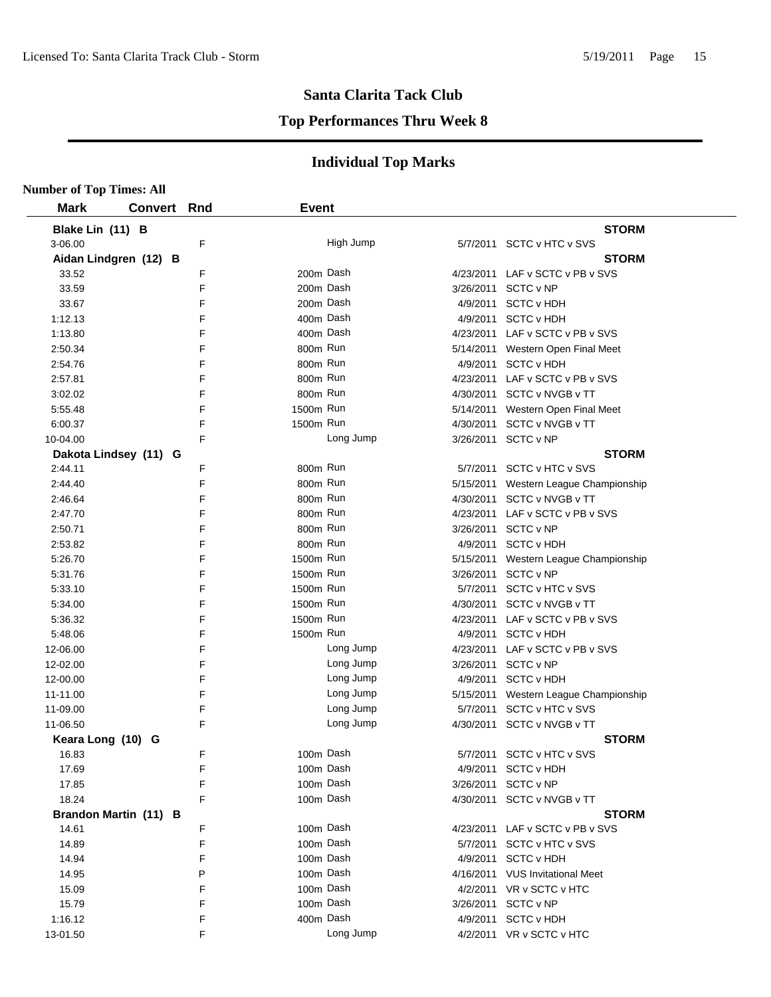#### **Top Performances Thru Week 8**

| <b>Number of Top Times: All</b> |                |     |              |           |           |                                       |
|---------------------------------|----------------|-----|--------------|-----------|-----------|---------------------------------------|
| <b>Mark</b>                     | <b>Convert</b> | Rnd | <b>Event</b> |           |           |                                       |
| Blake Lin (11) B                |                |     |              |           |           | <b>STORM</b>                          |
| 3-06.00                         |                | F   |              | High Jump |           | 5/7/2011 SCTC v HTC v SVS             |
| Aidan Lindgren (12) B           |                |     |              |           |           | <b>STORM</b>                          |
| 33.52                           |                | F   | 200m Dash    |           |           | 4/23/2011 LAF v SCTC v PB v SVS       |
| 33.59                           |                | F   | 200m Dash    |           |           | 3/26/2011 SCTC v NP                   |
| 33.67                           |                | F   | 200m Dash    |           |           | 4/9/2011 SCTC v HDH                   |
| 1:12.13                         |                | F   | 400m Dash    |           |           | 4/9/2011 SCTC v HDH                   |
| 1:13.80                         |                | F   | 400m Dash    |           |           | 4/23/2011 LAF v SCTC v PB v SVS       |
| 2:50.34                         |                | F   | 800m Run     |           |           | 5/14/2011 Western Open Final Meet     |
| 2:54.76                         |                | F   | 800m Run     |           |           | 4/9/2011 SCTC v HDH                   |
| 2:57.81                         |                | F   | 800m Run     |           |           | 4/23/2011 LAF v SCTC v PB v SVS       |
| 3:02.02                         |                | F   | 800m Run     |           |           | 4/30/2011 SCTC v NVGB v TT            |
| 5:55.48                         |                | F   | 1500m Run    |           |           | 5/14/2011 Western Open Final Meet     |
| 6:00.37                         |                | F   | 1500m Run    |           | 4/30/2011 | SCTC v NVGB v TT                      |
| 10-04.00                        |                | F   |              | Long Jump |           | 3/26/2011 SCTC v NP                   |
| Dakota Lindsey (11) G           |                |     |              |           |           | <b>STORM</b>                          |
| 2:44.11                         |                | F   | 800m Run     |           |           | 5/7/2011 SCTC v HTC v SVS             |
| 2:44.40                         |                | F   | 800m Run     |           |           | 5/15/2011 Western League Championship |
| 2:46.64                         |                | F   | 800m Run     |           |           | 4/30/2011 SCTC v NVGB v TT            |
| 2:47.70                         |                | F   | 800m Run     |           |           | 4/23/2011 LAF v SCTC v PB v SVS       |
| 2:50.71                         |                | F   | 800m Run     |           |           | 3/26/2011 SCTC v NP                   |
| 2:53.82                         |                | F   | 800m Run     |           |           | 4/9/2011 SCTC v HDH                   |
| 5:26.70                         |                | F   | 1500m Run    |           | 5/15/2011 | Western League Championship           |
| 5:31.76                         |                | F   | 1500m Run    |           |           | 3/26/2011 SCTC v NP                   |
| 5:33.10                         |                | F   | 1500m Run    |           |           | 5/7/2011 SCTC v HTC v SVS             |
| 5:34.00                         |                | F   | 1500m Run    |           |           | 4/30/2011 SCTC v NVGB v TT            |
| 5:36.32                         |                | F   | 1500m Run    |           |           | 4/23/2011 LAF v SCTC v PB v SVS       |
| 5:48.06                         |                | F   | 1500m Run    |           |           | 4/9/2011 SCTC v HDH                   |
| 12-06.00                        |                | F   |              | Long Jump |           | 4/23/2011 LAF v SCTC v PB v SVS       |
| 12-02.00                        |                | F   |              | Long Jump |           | 3/26/2011 SCTC v NP                   |
| 12-00.00                        |                | F   |              | Long Jump |           | 4/9/2011 SCTC v HDH                   |
| 11-11.00                        |                | F   |              | Long Jump |           | 5/15/2011 Western League Championship |
| 11-09.00                        |                | F   |              | Long Jump |           | 5/7/2011 SCTC v HTC v SVS             |
| 11-06.50                        |                | F   |              | Long Jump | 4/30/2011 | SCTC v NVGB v TT                      |
| Keara Long (10) G               |                |     |              |           |           | <b>STORM</b>                          |
| 16.83                           |                | F   | 100m Dash    |           |           | 5/7/2011 SCTC v HTC v SVS             |
| 17.69                           |                | F   | 100m Dash    |           |           | 4/9/2011 SCTC v HDH                   |
| 17.85                           |                | F   | 100m Dash    |           |           | 3/26/2011 SCTC v NP                   |
| 18.24                           |                | F   | 100m Dash    |           |           | 4/30/2011 SCTC v NVGB v TT            |
| Brandon Martin (11) B           |                |     |              |           |           | <b>STORM</b>                          |
| 14.61                           |                | F   | 100m Dash    |           |           | 4/23/2011 LAF v SCTC v PB v SVS       |
| 14.89                           |                | F   | 100m Dash    |           |           | 5/7/2011 SCTC v HTC v SVS             |
| 14.94                           |                | F   | 100m Dash    |           |           | 4/9/2011 SCTC v HDH                   |
| 14.95                           |                | P   | 100m Dash    |           |           | 4/16/2011 VUS Invitational Meet       |
| 15.09                           |                | F   | 100m Dash    |           |           | 4/2/2011 VR v SCTC v HTC              |
| 15.79                           |                | F   | 100m Dash    |           |           | 3/26/2011 SCTC v NP                   |
| 1:16.12                         |                | F   | 400m Dash    |           | 4/9/2011  | <b>SCTC v HDH</b>                     |
| 13-01.50                        |                | F   |              | Long Jump |           | 4/2/2011 VR v SCTC v HTC              |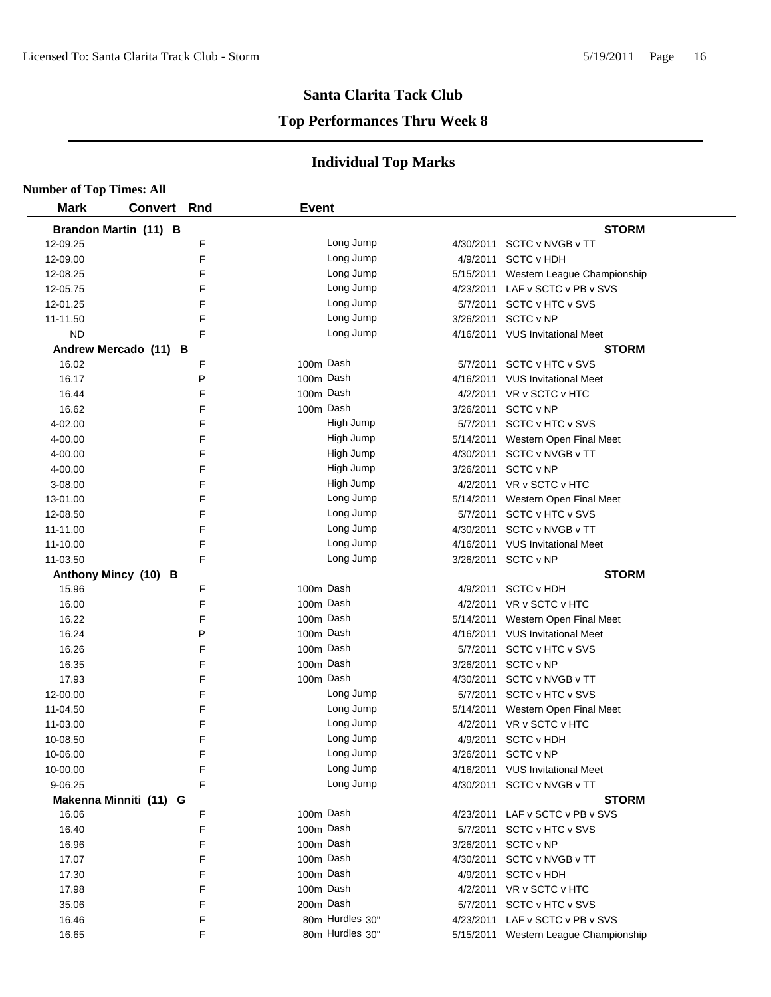#### **Top Performances Thru Week 8**

| <b>Number of Top Times: All</b> |                        |        |              |                        |           |                                                               |
|---------------------------------|------------------------|--------|--------------|------------------------|-----------|---------------------------------------------------------------|
| <b>Mark</b>                     | Convert Rnd            |        | <b>Event</b> |                        |           |                                                               |
|                                 | Brandon Martin (11) B  |        |              |                        |           | <b>STORM</b>                                                  |
| 12-09.25                        |                        | F      |              | Long Jump              |           | 4/30/2011 SCTC v NVGB v TT                                    |
| 12-09.00                        |                        | F      |              | Long Jump              |           | 4/9/2011 SCTC v HDH                                           |
| 12-08.25                        |                        | F      |              | Long Jump              |           | 5/15/2011 Western League Championship                         |
| 12-05.75                        |                        | F      |              | Long Jump              |           | 4/23/2011 LAF v SCTC v PB v SVS                               |
| 12-01.25                        |                        | F      |              | Long Jump              |           | 5/7/2011 SCTC v HTC v SVS                                     |
| 11-11.50                        |                        | F      |              | Long Jump              |           | 3/26/2011 SCTC v NP                                           |
| <b>ND</b>                       |                        | F      |              | Long Jump              |           | 4/16/2011 VUS Invitational Meet                               |
|                                 | Andrew Mercado (11) B  |        |              |                        |           | <b>STORM</b>                                                  |
| 16.02                           |                        | F      |              | 100m Dash              |           | 5/7/2011 SCTC v HTC v SVS                                     |
| 16.17                           |                        | P      |              | 100m Dash              |           | 4/16/2011 VUS Invitational Meet                               |
| 16.44                           |                        | F      |              | 100m Dash              |           | 4/2/2011 VR v SCTC v HTC                                      |
| 16.62                           |                        | F      |              | 100m Dash              |           | 3/26/2011 SCTC v NP                                           |
| 4-02.00                         |                        | F      |              | High Jump              |           | 5/7/2011 SCTC v HTC v SVS                                     |
| 4-00.00                         |                        | F      |              | High Jump              |           | 5/14/2011 Western Open Final Meet                             |
| 4-00.00                         |                        | F      |              | High Jump              |           | 4/30/2011 SCTC v NVGB v TT                                    |
| 4-00.00                         |                        | F      |              | High Jump              |           | 3/26/2011 SCTC v NP                                           |
| 3-08.00                         |                        | F      |              | High Jump              |           | 4/2/2011 VR v SCTC v HTC                                      |
| 13-01.00                        |                        | F      |              | Long Jump              |           | 5/14/2011 Western Open Final Meet                             |
| 12-08.50                        |                        | F      |              | Long Jump              |           | 5/7/2011 SCTC v HTC v SVS                                     |
| 11-11.00                        |                        | F      |              | Long Jump              |           | 4/30/2011 SCTC v NVGB v TT                                    |
| 11-10.00                        |                        | F      |              | Long Jump              |           | 4/16/2011 VUS Invitational Meet                               |
| 11-03.50                        |                        | F      |              | Long Jump              |           | 3/26/2011 SCTC v NP                                           |
|                                 | Anthony Mincy (10) B   |        |              |                        |           | <b>STORM</b>                                                  |
| 15.96                           |                        | F      | 100m Dash    |                        | 4/9/2011  | <b>SCTC v HDH</b>                                             |
| 16.00                           |                        | F      |              | 100m Dash              |           | 4/2/2011 VR v SCTC v HTC                                      |
| 16.22                           |                        | F      |              | 100m Dash              |           | 5/14/2011 Western Open Final Meet                             |
| 16.24                           |                        | P      |              | 100m Dash              |           | 4/16/2011 VUS Invitational Meet                               |
| 16.26                           |                        | F      |              | 100m Dash              |           | 5/7/2011 SCTC v HTC v SVS                                     |
| 16.35                           |                        | F      |              | 100m Dash              |           | 3/26/2011 SCTC v NP                                           |
| 17.93                           |                        | F      |              | 100m Dash              | 4/30/2011 | SCTC v NVGB v TT                                              |
| 12-00.00                        |                        | F      |              | Long Jump              |           | 5/7/2011 SCTC v HTC v SVS                                     |
| 11-04.50                        |                        | F      |              | Long Jump              |           | 5/14/2011 Western Open Final Meet                             |
| 11-03.00                        |                        | F      |              | Long Jump              |           | 4/2/2011 VR v SCTC v HTC                                      |
| 10-08.50                        |                        | F      |              | Long Jump              | 4/9/2011  | <b>SCTC v HDH</b>                                             |
| 10-06.00                        |                        | F<br>F |              | Long Jump              |           | 3/26/2011 SCTC v NP                                           |
| 10-00.00<br>9-06.25             |                        | F      |              | Long Jump<br>Long Jump |           | 4/16/2011 VUS Invitational Meet<br>4/30/2011 SCTC v NVGB v TT |
|                                 | Makenna Minniti (11) G |        |              |                        |           | <b>STORM</b>                                                  |
| 16.06                           |                        | F      |              | 100m Dash              |           | 4/23/2011 LAF v SCTC v PB v SVS                               |
| 16.40                           |                        | F      |              | 100m Dash              |           | 5/7/2011 SCTC v HTC v SVS                                     |
| 16.96                           |                        | F      |              | 100m Dash              |           | 3/26/2011 SCTC v NP                                           |
| 17.07                           |                        | F      |              | 100m Dash              |           | 4/30/2011 SCTC v NVGB v TT                                    |
| 17.30                           |                        | F      |              | 100m Dash              |           | 4/9/2011 SCTC v HDH                                           |
| 17.98                           |                        | F      |              | 100m Dash              |           | 4/2/2011 VR v SCTC v HTC                                      |
| 35.06                           |                        | F      |              | 200m Dash              |           | 5/7/2011 SCTC v HTC v SVS                                     |
| 16.46                           |                        | F      |              | 80m Hurdles 30"        |           | 4/23/2011 LAF v SCTC v PB v SVS                               |
| 16.65                           |                        | F      |              | 80m Hurdles 30"        |           | 5/15/2011 Western League Championship                         |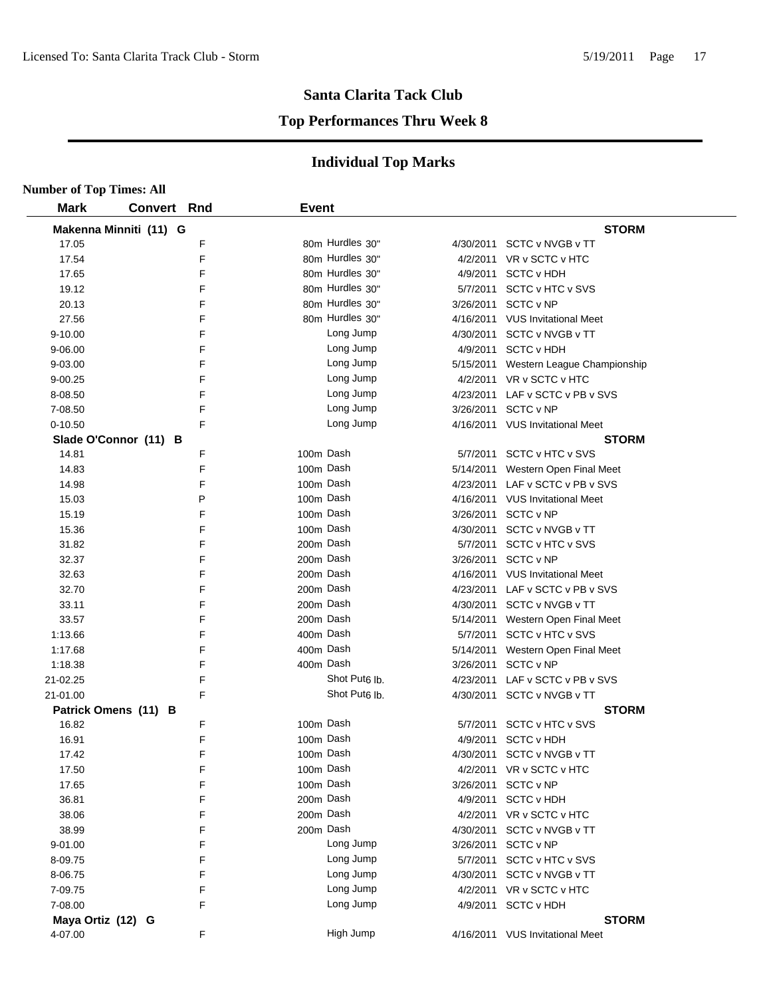#### **Top Performances Thru Week 8**

| <b>Number of Top Times: All</b> |                        |   |              |                           |           |                                       |
|---------------------------------|------------------------|---|--------------|---------------------------|-----------|---------------------------------------|
| <b>Mark</b>                     | <b>Convert Rnd</b>     |   | <b>Event</b> |                           |           |                                       |
|                                 | Makenna Minniti (11) G |   |              |                           |           | <b>STORM</b>                          |
| 17.05                           |                        | F |              | 80m Hurdles 30"           |           | 4/30/2011 SCTC v NVGB v TT            |
| 17.54                           |                        | F |              | 80m Hurdles 30"           | 4/2/2011  | VR v SCTC v HTC                       |
| 17.65                           |                        | F |              | 80m Hurdles 30"           | 4/9/2011  | <b>SCTC v HDH</b>                     |
| 19.12                           |                        | F |              | 80m Hurdles 30"           | 5/7/2011  | <b>SCTC v HTC v SVS</b>               |
| 20.13                           |                        | F |              | 80m Hurdles 30"           | 3/26/2011 | SCTC v NP                             |
| 27.56                           |                        | F |              | 80m Hurdles 30"           |           | 4/16/2011 VUS Invitational Meet       |
| 9-10.00                         |                        | F |              | Long Jump                 | 4/30/2011 | SCTC v NVGB v TT                      |
| 9-06.00                         |                        | F |              | Long Jump                 |           | 4/9/2011 SCTC v HDH                   |
| 9-03.00                         |                        | F |              | Long Jump                 |           | 5/15/2011 Western League Championship |
| 9-00.25                         |                        | F |              | Long Jump                 |           | 4/2/2011 VR v SCTC v HTC              |
| 8-08.50                         |                        | F |              | Long Jump                 |           | 4/23/2011 LAF v SCTC v PB v SVS       |
| 7-08.50                         |                        | F |              | Long Jump                 |           | 3/26/2011 SCTC v NP                   |
| $0 - 10.50$                     |                        | F |              | Long Jump                 |           | 4/16/2011 VUS Invitational Meet       |
|                                 | Slade O'Connor (11) B  |   |              |                           |           | <b>STORM</b>                          |
| 14.81                           |                        | F |              | 100m Dash                 |           | 5/7/2011 SCTC v HTC v SVS             |
| 14.83                           |                        | F |              | 100m Dash                 |           | 5/14/2011 Western Open Final Meet     |
| 14.98                           |                        | F |              | 100m Dash                 |           | 4/23/2011 LAF v SCTC v PB v SVS       |
| 15.03                           |                        | P |              | 100m Dash                 |           | 4/16/2011 VUS Invitational Meet       |
| 15.19                           |                        | F |              | 100m Dash                 |           | 3/26/2011 SCTC v NP                   |
| 15.36                           |                        | F |              | 100m Dash                 |           | 4/30/2011 SCTC v NVGB v TT            |
| 31.82                           |                        | F |              | 200m Dash                 |           | 5/7/2011 SCTC v HTC v SVS             |
| 32.37                           |                        | F |              | 200m Dash                 | 3/26/2011 | SCTC v NP                             |
| 32.63                           |                        | F |              | 200m Dash                 |           | 4/16/2011 VUS Invitational Meet       |
| 32.70                           |                        | F |              | 200m Dash                 |           | 4/23/2011 LAF v SCTC v PB v SVS       |
| 33.11                           |                        | F |              | 200m Dash                 |           | 4/30/2011 SCTC v NVGB v TT            |
| 33.57                           |                        | F |              | 200m Dash                 | 5/14/2011 | Western Open Final Meet               |
| 1:13.66                         |                        | F |              | 400m Dash                 |           | 5/7/2011 SCTC v HTC v SVS             |
| 1:17.68                         |                        | F |              | 400m Dash                 | 5/14/2011 | Western Open Final Meet               |
| 1:18.38                         |                        | F |              | 400m Dash                 | 3/26/2011 | SCTC v NP                             |
| 21-02.25                        |                        | F |              | Shot Put <sub>6</sub> lb. | 4/23/2011 | LAF v SCTC v PB v SVS                 |
| 21-01.00                        |                        | F |              | Shot Put <sub>6</sub> lb. | 4/30/2011 | SCTC v NVGB v TT                      |
|                                 | Patrick Omens (11) B   |   |              |                           |           | <b>STORM</b>                          |
| 16.82                           |                        | F |              | 100m Dash                 |           | 5/7/2011 SCTC v HTC v SVS             |
| 16.91                           |                        | E |              | 100m Dash                 |           | 4/9/2011 SCTC v HDH                   |
| 17.42                           |                        | F |              | 100m Dash                 |           | 4/30/2011 SCTC v NVGB v TT            |
| 17.50                           |                        | F |              | 100m Dash                 |           | 4/2/2011 VR v SCTC v HTC              |
| 17.65                           |                        | F |              | 100m Dash                 | 3/26/2011 | SCTC v NP                             |
| 36.81                           |                        | F |              | 200m Dash                 |           | 4/9/2011 SCTC v HDH                   |
| 38.06                           |                        | F |              | 200m Dash                 |           | 4/2/2011 VR v SCTC v HTC              |
| 38.99                           |                        | F |              | 200m Dash                 | 4/30/2011 | SCTC v NVGB v TT                      |
| 9-01.00                         |                        | F |              | Long Jump                 | 3/26/2011 | SCTC v NP                             |
| 8-09.75                         |                        | F |              | Long Jump                 |           | 5/7/2011 SCTC v HTC v SVS             |
| 8-06.75                         |                        | F |              | Long Jump                 |           | 4/30/2011 SCTC v NVGB v TT            |
| 7-09.75                         |                        | F |              | Long Jump                 |           | 4/2/2011 VR v SCTC v HTC              |
| 7-08.00                         |                        | F |              | Long Jump                 |           | 4/9/2011 SCTC v HDH                   |
| Maya Ortiz (12) G               |                        |   |              |                           |           | <b>STORM</b>                          |
| 4-07.00                         |                        | F |              | High Jump                 |           | 4/16/2011 VUS Invitational Meet       |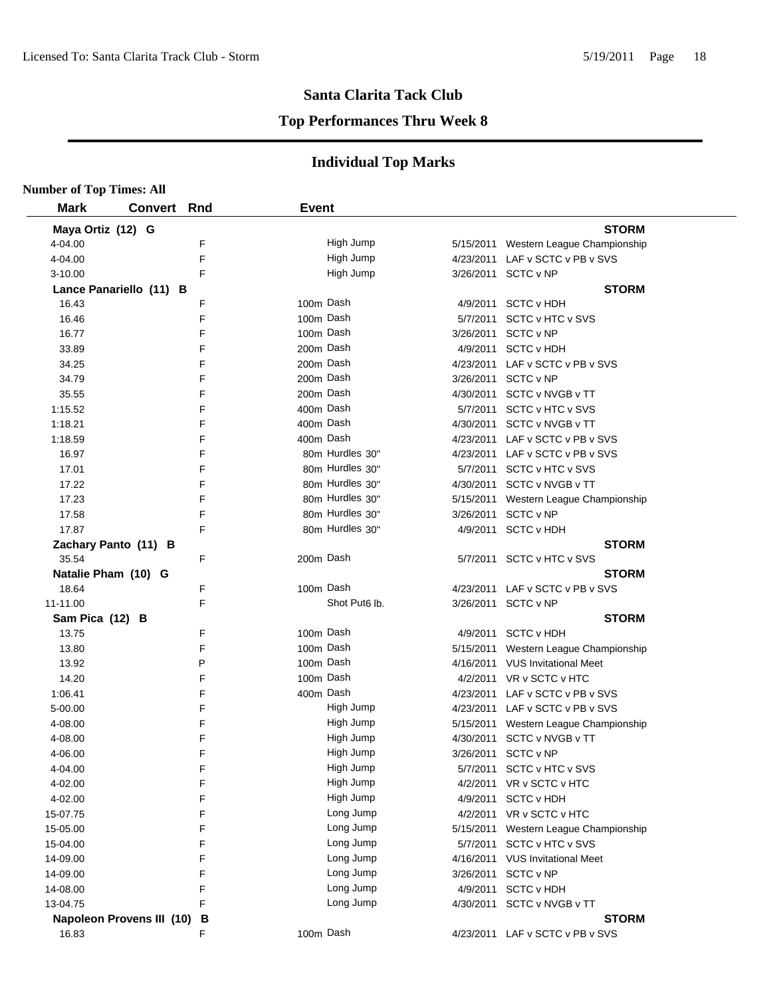#### **Top Performances Thru Week 8**

| <b>Number of Top Times: All</b> |     |              |                           |           |                                       |
|---------------------------------|-----|--------------|---------------------------|-----------|---------------------------------------|
| <b>Mark</b><br><b>Convert</b>   | Rnd | <b>Event</b> |                           |           |                                       |
| Maya Ortiz (12) G               |     |              |                           |           | <b>STORM</b>                          |
| 4-04.00                         | F   |              | High Jump                 |           | 5/15/2011 Western League Championship |
| 4-04.00                         | F   |              | High Jump                 |           | 4/23/2011 LAF v SCTC v PB v SVS       |
| $3 - 10.00$                     | F   |              | High Jump                 |           | 3/26/2011 SCTC v NP                   |
| Lance Panariello (11) B         |     |              |                           |           | <b>STORM</b>                          |
| 16.43                           | F   |              | 100m Dash                 |           | 4/9/2011 SCTC v HDH                   |
| 16.46                           | F   |              | 100m Dash                 |           | 5/7/2011 SCTC v HTC v SVS             |
| 16.77                           | F   |              | 100m Dash                 |           | 3/26/2011 SCTC v NP                   |
| 33.89                           | F   |              | 200m Dash                 |           | 4/9/2011 SCTC v HDH                   |
| 34.25                           | F   |              | 200m Dash                 |           | 4/23/2011 LAF v SCTC v PB v SVS       |
| 34.79                           | F   |              | 200m Dash                 |           | 3/26/2011 SCTC v NP                   |
| 35.55                           | F   |              | 200m Dash                 |           | 4/30/2011 SCTC v NVGB v TT            |
| 1:15.52                         | F   |              | 400m Dash                 |           | 5/7/2011 SCTC v HTC v SVS             |
| 1:18.21                         | F   |              | 400m Dash                 |           | 4/30/2011 SCTC v NVGB v TT            |
| 1:18.59                         | F   |              | 400m Dash                 |           | 4/23/2011 LAF v SCTC v PB v SVS       |
| 16.97                           | F   |              | 80m Hurdles 30"           |           | 4/23/2011 LAF v SCTC v PB v SVS       |
| 17.01                           | F   |              | 80m Hurdles 30"           |           | 5/7/2011 SCTC v HTC v SVS             |
| 17.22                           | F   |              | 80m Hurdles 30"           |           | 4/30/2011 SCTC v NVGB v TT            |
| 17.23                           | F   |              | 80m Hurdles 30"           |           | 5/15/2011 Western League Championship |
| 17.58                           | F   |              | 80m Hurdles 30"           |           | 3/26/2011 SCTC v NP                   |
| 17.87                           | F   |              | 80m Hurdles 30"           |           | 4/9/2011 SCTC v HDH                   |
| Zachary Panto (11) B            |     |              |                           |           | <b>STORM</b>                          |
| 35.54                           | F   |              | 200m Dash                 |           | 5/7/2011 SCTC v HTC v SVS             |
| Natalie Pham (10) G             |     |              |                           |           | <b>STORM</b>                          |
| 18.64                           | F   |              | 100m Dash                 |           | 4/23/2011 LAF v SCTC v PB v SVS       |
| 11-11.00                        | F   |              | Shot Put <sub>6</sub> lb. |           | 3/26/2011 SCTC v NP                   |
| Sam Pica (12) B                 |     |              |                           |           | <b>STORM</b>                          |
| 13.75                           | F   |              | 100m Dash                 |           | 4/9/2011 SCTC v HDH                   |
| 13.80                           | F   |              | 100m Dash                 |           | 5/15/2011 Western League Championship |
| 13.92                           | Ρ   |              | 100m Dash                 |           | 4/16/2011 VUS Invitational Meet       |
| 14.20                           | F   |              | 100m Dash                 |           | 4/2/2011 VR v SCTC v HTC              |
| 1:06.41                         | F   |              | 400m Dash                 |           | 4/23/2011 LAF v SCTC v PB v SVS       |
| 5-00.00                         | F   |              | High Jump                 |           | 4/23/2011 LAF v SCTC v PB v SVS       |
| 4-08.00                         | F   |              | High Jump                 |           | 5/15/2011 Western League Championship |
| 4-08.00                         | F   |              | High Jump                 |           | 4/30/2011 SCTC v NVGB v TT            |
| 4-06.00                         | F   |              | High Jump                 |           | 3/26/2011 SCTC v NP                   |
| 4-04.00                         | F   |              | High Jump                 |           | 5/7/2011 SCTC v HTC v SVS             |
| 4-02.00                         | F   |              | High Jump                 |           | 4/2/2011 VR v SCTC v HTC              |
| 4-02.00                         | F   |              | High Jump                 |           | 4/9/2011 SCTC v HDH                   |
| 15-07.75                        | F   |              | Long Jump                 |           | 4/2/2011 VR v SCTC v HTC              |
| 15-05.00                        | F   |              | Long Jump                 |           | 5/15/2011 Western League Championship |
| 15-04.00                        | F   |              | Long Jump                 |           | 5/7/2011 SCTC v HTC v SVS             |
| 14-09.00                        | F   |              | Long Jump                 |           | 4/16/2011 VUS Invitational Meet       |
| 14-09.00                        | F   |              | Long Jump                 | 3/26/2011 | SCTC v NP                             |
| 14-08.00                        | F   |              | Long Jump                 | 4/9/2011  | <b>SCTC v HDH</b>                     |
| 13-04.75                        | F   |              | Long Jump                 |           | 4/30/2011 SCTC v NVGB v TT            |
| Napoleon Provens III (10)       | В   |              |                           |           | <b>STORM</b>                          |
| 16.83                           | F   |              | 100m Dash                 |           | 4/23/2011 LAF v SCTC v PB v SVS       |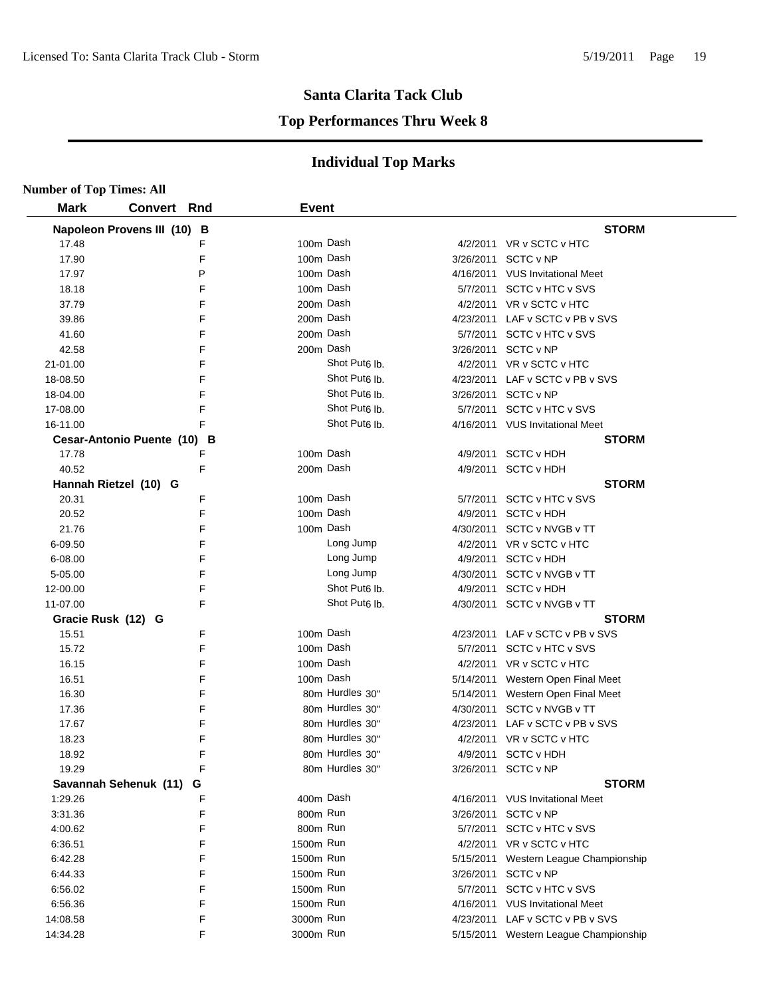#### **Top Performances Thru Week 8**

| <b>Number of Top Times: All</b> |                             |   |              |                           |                                       |  |
|---------------------------------|-----------------------------|---|--------------|---------------------------|---------------------------------------|--|
| <b>Mark</b>                     | <b>Convert Rnd</b>          |   | <b>Event</b> |                           |                                       |  |
|                                 | Napoleon Provens III (10) B |   |              |                           | <b>STORM</b>                          |  |
| 17.48                           |                             | F |              | 100m Dash                 | 4/2/2011 VR v SCTC v HTC              |  |
| 17.90                           |                             | F |              | 100m Dash                 | 3/26/2011 SCTC v NP                   |  |
| 17.97                           |                             | P |              | 100m Dash                 | 4/16/2011 VUS Invitational Meet       |  |
| 18.18                           |                             | F |              | 100m Dash                 | 5/7/2011 SCTC v HTC v SVS             |  |
| 37.79                           |                             | F |              | 200m Dash                 | 4/2/2011 VR v SCTC v HTC              |  |
| 39.86                           |                             | F |              | 200m Dash                 | 4/23/2011 LAF v SCTC v PB v SVS       |  |
| 41.60                           |                             | F |              | 200m Dash                 | 5/7/2011 SCTC v HTC v SVS             |  |
| 42.58                           |                             | F | 200m Dash    |                           | 3/26/2011 SCTC v NP                   |  |
| 21-01.00                        |                             | F |              | Shot Put <sub>6</sub> lb. | 4/2/2011 VR v SCTC v HTC              |  |
| 18-08.50                        |                             | F |              | Shot Put <sub>6</sub> lb. | 4/23/2011 LAF v SCTC v PB v SVS       |  |
| 18-04.00                        |                             | F |              | Shot Put <sub>6</sub> Ib. | 3/26/2011 SCTC v NP                   |  |
| 17-08.00                        |                             | F |              | Shot Put <sub>6</sub> lb. | 5/7/2011 SCTC v HTC v SVS             |  |
| 16-11.00                        |                             | F |              | Shot Put <sub>6</sub> lb. | 4/16/2011 VUS Invitational Meet       |  |
|                                 | Cesar-Antonio Puente (10) B |   |              |                           | <b>STORM</b>                          |  |
| 17.78                           |                             | F |              | 100m Dash                 | 4/9/2011 SCTC v HDH                   |  |
| 40.52                           |                             | F |              | 200m Dash                 | 4/9/2011 SCTC v HDH                   |  |
|                                 | Hannah Rietzel (10) G       |   |              |                           | <b>STORM</b>                          |  |
| 20.31                           |                             | F |              | 100m Dash                 | 5/7/2011 SCTC v HTC v SVS             |  |
| 20.52                           |                             | F |              | 100m Dash                 | 4/9/2011 SCTC v HDH                   |  |
| 21.76                           |                             | F |              | 100m Dash                 | 4/30/2011 SCTC v NVGB v TT            |  |
| 6-09.50                         |                             | F |              | Long Jump                 | 4/2/2011 VR v SCTC v HTC              |  |
| 6-08.00                         |                             | F |              | Long Jump                 | 4/9/2011 SCTC v HDH                   |  |
| 5-05.00                         |                             | F |              | Long Jump                 | 4/30/2011 SCTC v NVGB v TT            |  |
| 12-00.00                        |                             | F |              | Shot Put <sub>6</sub> Ib. | 4/9/2011 SCTC v HDH                   |  |
| 11-07.00                        |                             | F |              | Shot Put <sub>6</sub> lb. | 4/30/2011 SCTC v NVGB v TT            |  |
| Gracie Rusk (12) G              |                             |   |              |                           | <b>STORM</b>                          |  |
| 15.51                           |                             | F | 100m Dash    |                           | 4/23/2011 LAF v SCTC v PB v SVS       |  |
| 15.72                           |                             | F |              | 100m Dash                 | 5/7/2011 SCTC v HTC v SVS             |  |
| 16.15                           |                             | F |              | 100m Dash                 | 4/2/2011 VR v SCTC v HTC              |  |
| 16.51                           |                             | F |              | 100m Dash                 | 5/14/2011 Western Open Final Meet     |  |
| 16.30                           |                             | F |              | 80m Hurdles 30"           | 5/14/2011 Western Open Final Meet     |  |
| 17.36                           |                             | F |              | 80m Hurdles 30"           | 4/30/2011 SCTC v NVGB v TT            |  |
| 17.67                           |                             | F |              | 80m Hurdles 30"           | 4/23/2011 LAF v SCTC v PB v SVS       |  |
| 18.23                           |                             | F |              | 80m Hurdles 30"           | 4/2/2011 VR v SCTC v HTC              |  |
| 18.92                           |                             | F |              | 80m Hurdles 30"           | 4/9/2011 SCTC v HDH                   |  |
| 19.29                           |                             | F |              | 80m Hurdles 30"           | 3/26/2011 SCTC v NP                   |  |
|                                 | Savannah Sehenuk (11)       | G |              |                           | <b>STORM</b>                          |  |
| 1:29.26                         |                             | F | 400m Dash    |                           | 4/16/2011 VUS Invitational Meet       |  |
| 3:31.36                         |                             | F | 800m Run     |                           | 3/26/2011 SCTC v NP                   |  |
| 4:00.62                         |                             | F | 800m Run     |                           | 5/7/2011 SCTC v HTC v SVS             |  |
| 6:36.51                         |                             | F | 1500m Run    |                           | 4/2/2011 VR v SCTC v HTC              |  |
| 6:42.28                         |                             | F | 1500m Run    |                           | 5/15/2011 Western League Championship |  |
| 6:44.33                         |                             | F | 1500m Run    |                           | 3/26/2011 SCTC v NP                   |  |
| 6:56.02                         |                             | F | 1500m Run    |                           | 5/7/2011 SCTC v HTC v SVS             |  |
| 6.56.36                         |                             | F | 1500m Run    |                           | 4/16/2011 VUS Invitational Meet       |  |
| 14:08.58                        |                             | F | 3000m Run    |                           | 4/23/2011 LAF v SCTC v PB v SVS       |  |
| 14:34.28                        |                             | F | 3000m Run    |                           | 5/15/2011 Western League Championship |  |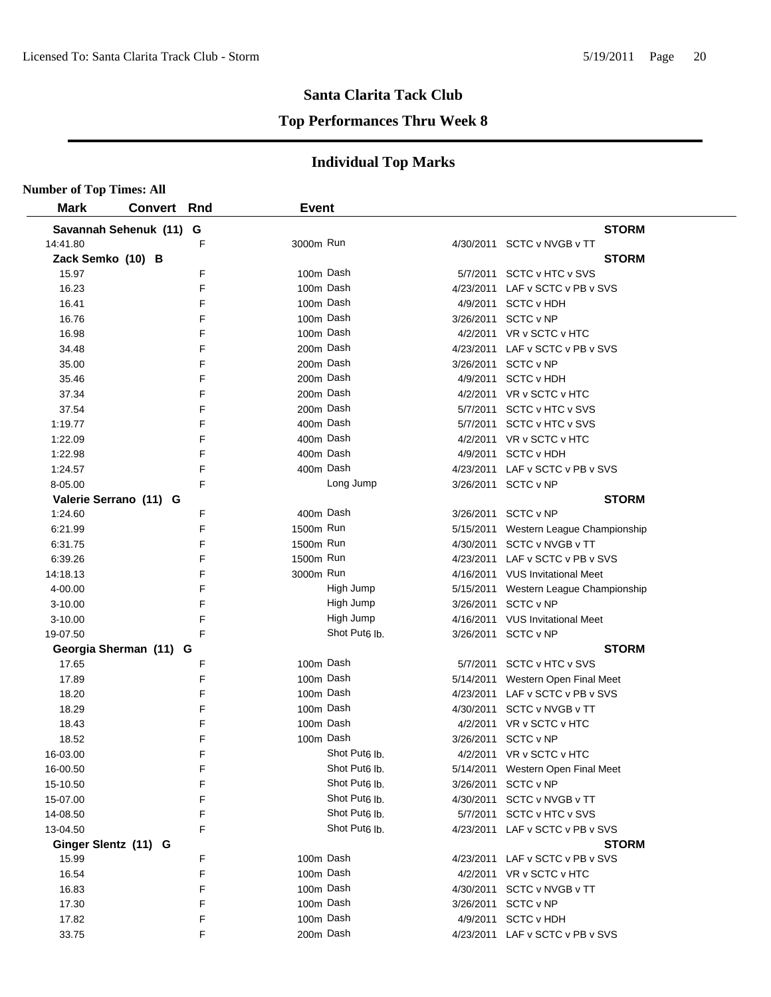#### **Top Performances Thru Week 8**

| <b>Number of Top Times: All</b> |                         |   |              |                           |           |                                       |  |
|---------------------------------|-------------------------|---|--------------|---------------------------|-----------|---------------------------------------|--|
| <b>Mark</b>                     | <b>Convert Rnd</b>      |   | <b>Event</b> |                           |           |                                       |  |
|                                 | Savannah Sehenuk (11) G |   |              |                           |           | <b>STORM</b>                          |  |
| 14:41.80                        |                         | F | 3000m Run    |                           |           | 4/30/2011 SCTC v NVGB v TT            |  |
| Zack Semko (10) B               |                         |   |              |                           |           | <b>STORM</b>                          |  |
| 15.97                           |                         | F | 100m Dash    |                           |           | 5/7/2011 SCTC v HTC v SVS             |  |
| 16.23                           |                         | F | 100m Dash    |                           |           | 4/23/2011 LAF v SCTC v PB v SVS       |  |
| 16.41                           |                         | F | 100m Dash    |                           |           | 4/9/2011 SCTC v HDH                   |  |
| 16.76                           |                         | F | 100m Dash    |                           |           | 3/26/2011 SCTC v NP                   |  |
| 16.98                           |                         | F | 100m Dash    |                           |           | 4/2/2011 VR v SCTC v HTC              |  |
| 34.48                           |                         | F | 200m Dash    |                           |           | 4/23/2011 LAF v SCTC v PB v SVS       |  |
| 35.00                           |                         | F | 200m Dash    |                           |           | 3/26/2011 SCTC v NP                   |  |
| 35.46                           |                         | F | 200m Dash    |                           |           | 4/9/2011 SCTC v HDH                   |  |
| 37.34                           |                         | F | 200m Dash    |                           |           | 4/2/2011 VR v SCTC v HTC              |  |
| 37.54                           |                         | F | 200m Dash    |                           |           | 5/7/2011 SCTC v HTC v SVS             |  |
| 1:19.77                         |                         | F | 400m Dash    |                           |           | 5/7/2011 SCTC v HTC v SVS             |  |
| 1:22.09                         |                         | F | 400m Dash    |                           |           | 4/2/2011 VR v SCTC v HTC              |  |
| 1:22.98                         |                         | F | 400m Dash    |                           |           | 4/9/2011 SCTC v HDH                   |  |
| 1:24.57                         |                         | F | 400m Dash    |                           |           | 4/23/2011 LAF v SCTC v PB v SVS       |  |
| 8-05.00                         |                         | F |              | Long Jump                 |           | 3/26/2011 SCTC v NP                   |  |
|                                 | Valerie Serrano (11) G  |   |              |                           |           | <b>STORM</b>                          |  |
| 1:24.60                         |                         | F | 400m Dash    |                           |           | 3/26/2011 SCTC v NP                   |  |
| 6:21.99                         |                         | F | 1500m Run    |                           |           | 5/15/2011 Western League Championship |  |
| 6:31.75                         |                         | F | 1500m Run    |                           |           | 4/30/2011 SCTC v NVGB v TT            |  |
| 6:39.26                         |                         | F | 1500m Run    |                           |           | 4/23/2011 LAF v SCTC v PB v SVS       |  |
| 14:18.13                        |                         | F | 3000m Run    |                           |           | 4/16/2011 VUS Invitational Meet       |  |
| 4-00.00                         |                         | F |              | High Jump                 |           | 5/15/2011 Western League Championship |  |
| $3 - 10.00$                     |                         | F |              | High Jump                 |           | 3/26/2011 SCTC v NP                   |  |
| $3 - 10.00$                     |                         | F |              | High Jump                 |           | 4/16/2011 VUS Invitational Meet       |  |
| 19-07.50                        |                         | F |              | Shot Put <sub>6</sub> lb. |           | 3/26/2011 SCTC v NP                   |  |
|                                 | Georgia Sherman (11) G  |   |              |                           |           | <b>STORM</b>                          |  |
| 17.65                           |                         | F | 100m Dash    |                           |           | 5/7/2011 SCTC v HTC v SVS             |  |
| 17.89                           |                         | F | 100m Dash    |                           |           | 5/14/2011 Western Open Final Meet     |  |
| 18.20                           |                         | F | 100m Dash    |                           |           | 4/23/2011 LAF v SCTC v PB v SVS       |  |
| 18.29                           |                         | F | 100m Dash    |                           |           | 4/30/2011 SCTC v NVGB v TT            |  |
| 18.43                           |                         | F | 100m Dash    |                           |           | 4/2/2011 VR v SCTC v HTC              |  |
| 18.52                           |                         | F | 100m Dash    |                           |           | 3/26/2011 SCTC v NP                   |  |
| 16-03.00                        |                         | F |              | Shot Put <sub>6</sub> lb. |           | 4/2/2011 VR v SCTC v HTC              |  |
| 16-00.50                        |                         | F |              | Shot Put <sub>6</sub> lb. |           | 5/14/2011 Western Open Final Meet     |  |
| 15-10.50                        |                         | F |              | Shot Put6 lb.             |           | 3/26/2011 SCTC v NP                   |  |
| 15-07.00                        |                         | F |              | Shot Put <sub>6</sub> lb. |           | 4/30/2011 SCTC v NVGB v TT            |  |
| 14-08.50                        |                         | F |              | Shot Put <sub>6</sub> lb. |           | 5/7/2011 SCTC v HTC v SVS             |  |
| 13-04.50                        |                         | F |              | Shot Put <sub>6</sub> lb. |           | 4/23/2011 LAF v SCTC v PB v SVS       |  |
| Ginger Slentz (11) G            |                         |   |              |                           |           | <b>STORM</b>                          |  |
| 15.99                           |                         | F | 100m Dash    |                           |           | 4/23/2011 LAF v SCTC v PB v SVS       |  |
| 16.54                           |                         | F | 100m Dash    |                           |           | 4/2/2011 VR v SCTC v HTC              |  |
| 16.83                           |                         | F | 100m Dash    |                           | 4/30/2011 | SCTC v NVGB v TT                      |  |
| 17.30                           |                         | F | 100m Dash    |                           | 3/26/2011 | SCTC v NP                             |  |
| 17.82                           |                         | F | 100m Dash    |                           |           | 4/9/2011 SCTC v HDH                   |  |
| 33.75                           |                         | F | 200m Dash    |                           |           | 4/23/2011 LAF v SCTC v PB v SVS       |  |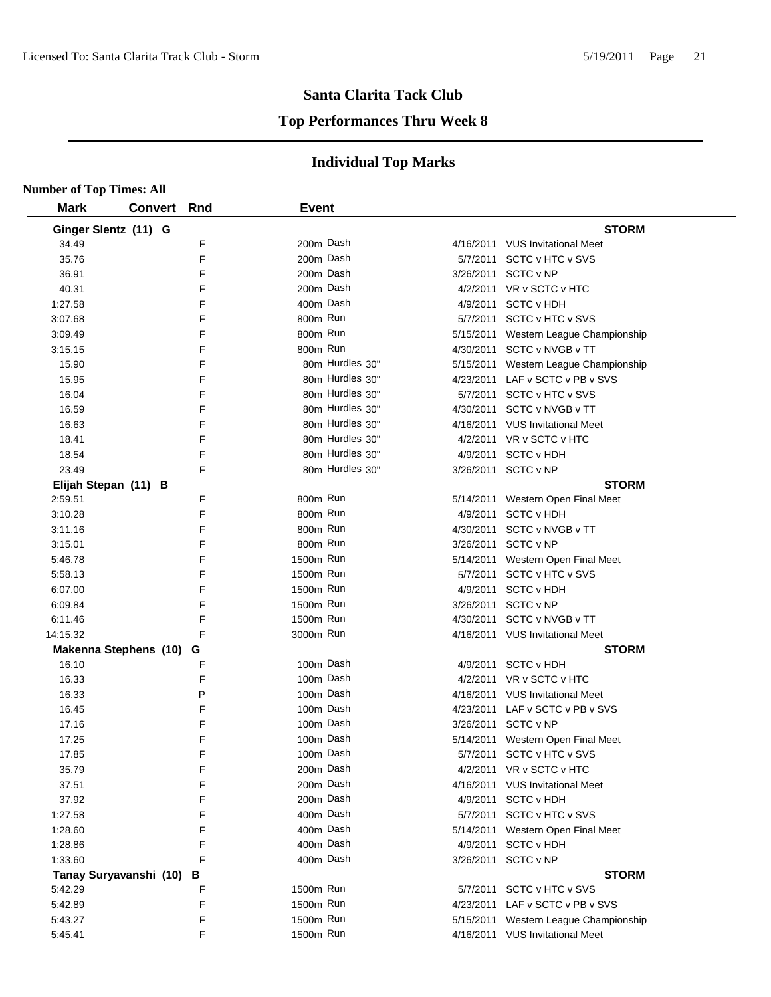#### **Top Performances Thru Week 8**

| <b>Number of Top Times: All</b>   |                |        |              |                 |                       |                                       |
|-----------------------------------|----------------|--------|--------------|-----------------|-----------------------|---------------------------------------|
| <b>Mark</b>                       | <b>Convert</b> | Rnd    | <b>Event</b> |                 |                       |                                       |
| Ginger Slentz (11) G              |                |        |              |                 |                       | <b>STORM</b>                          |
| 34.49                             |                | F      |              | 200m Dash       |                       | 4/16/2011 VUS Invitational Meet       |
| 35.76                             |                | F      |              | 200m Dash       |                       | 5/7/2011 SCTC v HTC v SVS             |
| 36.91                             |                | F      |              | 200m Dash       |                       | 3/26/2011 SCTC v NP                   |
| 40.31                             |                | F      |              | 200m Dash       |                       | 4/2/2011 VR v SCTC v HTC              |
| 1:27.58                           |                | F      |              | 400m Dash       |                       | 4/9/2011 SCTC v HDH                   |
| 3:07.68                           |                | F      | 800m Run     |                 |                       | 5/7/2011 SCTC v HTC v SVS             |
| 3:09.49                           |                | F      | 800m Run     |                 |                       | 5/15/2011 Western League Championship |
| 3:15.15                           |                | F      | 800m Run     |                 |                       | 4/30/2011 SCTC v NVGB v TT            |
| 15.90                             |                | F      |              | 80m Hurdles 30" |                       | 5/15/2011 Western League Championship |
| 15.95                             |                | F      |              | 80m Hurdles 30" |                       | 4/23/2011 LAF v SCTC v PB v SVS       |
| 16.04                             |                | F      |              | 80m Hurdles 30" |                       | 5/7/2011 SCTC v HTC v SVS             |
| 16.59                             |                | F      |              | 80m Hurdles 30" |                       | 4/30/2011 SCTC v NVGB v TT            |
| 16.63                             |                | F      |              | 80m Hurdles 30" |                       | 4/16/2011 VUS Invitational Meet       |
| 18.41                             |                | F      |              | 80m Hurdles 30" |                       | 4/2/2011 VR v SCTC v HTC              |
| 18.54                             |                | F      |              | 80m Hurdles 30" |                       | 4/9/2011 SCTC v HDH                   |
| 23.49                             |                | F      |              | 80m Hurdles 30" |                       | 3/26/2011 SCTC v NP                   |
| Elijah Stepan (11) B              |                |        |              |                 |                       | <b>STORM</b>                          |
| 2:59.51                           |                | F      | 800m Run     |                 |                       | 5/14/2011 Western Open Final Meet     |
| 3:10.28                           |                | F      | 800m Run     |                 |                       | 4/9/2011 SCTC v HDH                   |
| 3:11.16                           |                | F      | 800m Run     |                 | 4/30/2011             | SCTC v NVGB v TT                      |
| 3:15.01                           |                | F      | 800m Run     |                 |                       | 3/26/2011 SCTC v NP                   |
| 5:46.78                           |                | F      | 1500m Run    |                 |                       | 5/14/2011 Western Open Final Meet     |
| 5:58.13                           |                | F      | 1500m Run    |                 | 5/7/2011              | SCTC v HTC v SVS                      |
| 6:07.00                           |                | F      | 1500m Run    |                 | 4/9/2011              | <b>SCTC v HDH</b>                     |
| 6:09.84                           |                | F      | 1500m Run    |                 | 3/26/2011             | SCTC v NP                             |
| 6:11.46                           |                | F      | 1500m Run    |                 | 4/30/2011             | SCTC v NVGB v TT                      |
| 14:15.32                          |                | F      | 3000m Run    |                 |                       | 4/16/2011 VUS Invitational Meet       |
| <b>Makenna Stephens (10)</b>      |                | G      |              |                 |                       | <b>STORM</b>                          |
| 16.10                             |                | F      |              | 100m Dash       | 4/9/2011              | <b>SCTC v HDH</b>                     |
| 16.33                             |                | F      |              | 100m Dash       |                       | 4/2/2011 VR v SCTC v HTC              |
| 16.33                             |                | P      |              | 100m Dash       |                       | 4/16/2011 VUS Invitational Meet       |
| 16.45                             |                | F      |              | 100m Dash       | 4/23/2011             | LAF v SCTC v PB v SVS                 |
| 17.16                             |                | F      |              | 100m Dash       | 3/26/2011             | SCTC v NP                             |
| 17.25                             |                | F      |              | 100m Dash       |                       | 5/14/2011 Western Open Final Meet     |
| 17.85                             |                | F      |              | 100m Dash       |                       | 5/7/2011 SCTC v HTC v SVS             |
| 35.79                             |                | F      |              | 200m Dash       |                       | 4/2/2011 VR v SCTC v HTC              |
| 37.51                             |                | F      |              | 200m Dash       |                       | 4/16/2011 VUS Invitational Meet       |
| 37.92                             |                | F      |              | 200m Dash       | 4/9/2011              | <b>SCTC v HDH</b>                     |
| 1:27.58                           |                | F      |              | 400m Dash       | 5/7/2011              | SCTC v HTC v SVS                      |
| 1:28.60                           |                | F      |              | 400m Dash       |                       | Western Open Final Meet               |
| 1:28.86                           |                | F      | 400m Dash    |                 | 5/14/2011<br>4/9/2011 | <b>SCTC v HDH</b>                     |
| 1:33.60                           |                | F      |              | 400m Dash       | 3/26/2011             | SCTC v NP                             |
|                                   |                |        |              |                 |                       | <b>STORM</b>                          |
| Tanay Suryavanshi (10)<br>5:42.29 |                | в<br>F | 1500m Run    |                 | 5/7/2011              | SCTC v HTC v SVS                      |
| 5:42.89                           |                | F      | 1500m Run    |                 | 4/23/2011             | LAF v SCTC v PB v SVS                 |
| 5:43.27                           |                | F      | 1500m Run    |                 |                       |                                       |
|                                   |                | F      | 1500m Run    |                 |                       | 5/15/2011 Western League Championship |
| 5:45.41                           |                |        |              |                 |                       | 4/16/2011 VUS Invitational Meet       |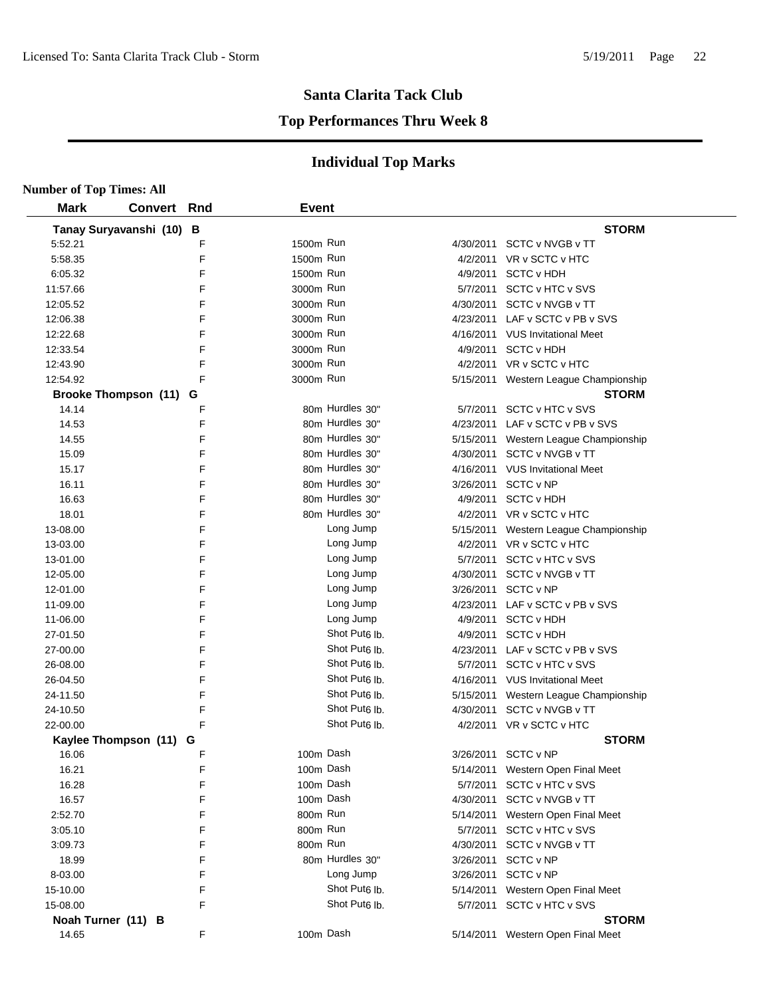## **Santa Clarita Tack Club Top Performances Thru Week 8**

| <b>Number of Top Times: All</b> |                        |     |              |                           |           |                                       |
|---------------------------------|------------------------|-----|--------------|---------------------------|-----------|---------------------------------------|
| <b>Mark</b>                     | <b>Convert</b>         | Rnd | <b>Event</b> |                           |           |                                       |
|                                 | Tanay Suryavanshi (10) | B   |              |                           |           | <b>STORM</b>                          |
| 5:52.21                         |                        | F   | 1500m Run    |                           |           | 4/30/2011 SCTC v NVGB v TT            |
| 5:58.35                         |                        | F   | 1500m Run    |                           |           | 4/2/2011 VR v SCTC v HTC              |
| 6:05.32                         |                        | F   | 1500m Run    |                           |           | 4/9/2011 SCTC v HDH                   |
| 11:57.66                        |                        | F   | 3000m Run    |                           |           | 5/7/2011 SCTC v HTC v SVS             |
| 12:05.52                        |                        | F   | 3000m Run    |                           |           | 4/30/2011 SCTC v NVGB v TT            |
| 12:06.38                        |                        | F   | 3000m Run    |                           |           | 4/23/2011 LAF v SCTC v PB v SVS       |
| 12:22.68                        |                        | F   | 3000m Run    |                           |           | 4/16/2011 VUS Invitational Meet       |
| 12:33.54                        |                        | F   | 3000m Run    |                           |           | 4/9/2011 SCTC v HDH                   |
| 12:43.90                        |                        | F   | 3000m Run    |                           |           | 4/2/2011 VR v SCTC v HTC              |
| 12:54.92                        |                        | F   | 3000m Run    |                           |           | 5/15/2011 Western League Championship |
|                                 | Brooke Thompson (11) G |     |              |                           |           | <b>STORM</b>                          |
| 14.14                           |                        | F   |              | 80m Hurdles 30"           |           | 5/7/2011 SCTC v HTC v SVS             |
| 14.53                           |                        | F   |              | 80m Hurdles 30"           |           | 4/23/2011 LAF v SCTC v PB v SVS       |
| 14.55                           |                        | F   |              | 80m Hurdles 30"           |           | 5/15/2011 Western League Championship |
| 15.09                           |                        | F   |              | 80m Hurdles 30"           |           | 4/30/2011 SCTC v NVGB v TT            |
| 15.17                           |                        | F   |              | 80m Hurdles 30"           |           | 4/16/2011 VUS Invitational Meet       |
| 16.11                           |                        | F   |              | 80m Hurdles 30"           |           | 3/26/2011 SCTC v NP                   |
| 16.63                           |                        | F   |              | 80m Hurdles 30"           |           | 4/9/2011 SCTC v HDH                   |
| 18.01                           |                        | F   |              | 80m Hurdles 30"           |           | 4/2/2011 VR v SCTC v HTC              |
| 13-08.00                        |                        | F   |              | Long Jump                 |           | 5/15/2011 Western League Championship |
| 13-03.00                        |                        | F   |              | Long Jump                 |           | 4/2/2011 VR v SCTC v HTC              |
| 13-01.00                        |                        | F   |              | Long Jump                 |           | 5/7/2011 SCTC v HTC v SVS             |
| 12-05.00                        |                        | F   |              | Long Jump                 |           | 4/30/2011 SCTC v NVGB v TT            |
| 12-01.00                        |                        | F   |              | Long Jump                 |           | 3/26/2011 SCTC v NP                   |
| 11-09.00                        |                        | F   |              | Long Jump                 | 4/23/2011 | LAF v SCTC v PB v SVS                 |
| 11-06.00                        |                        | F   |              | Long Jump                 |           | 4/9/2011 SCTC v HDH                   |
| 27-01.50                        |                        | F   |              | Shot Put <sub>6</sub> lb. | 4/9/2011  | <b>SCTC v HDH</b>                     |
| 27-00.00                        |                        | F   |              | Shot Put6 lb.             |           | 4/23/2011 LAF v SCTC v PB v SVS       |
| 26-08.00                        |                        | F   |              | Shot Put <sub>6</sub> lb. |           | 5/7/2011 SCTC v HTC v SVS             |
| 26-04.50                        |                        | F   |              | Shot Put <sub>6</sub> lb. |           | 4/16/2011 VUS Invitational Meet       |
| 24-11.50                        |                        | F   |              | Shot Put <sub>6</sub> lb. |           | 5/15/2011 Western League Championship |
| 24-10.50                        |                        | F   |              | Shot Put <sub>6</sub> lb. | 4/30/2011 | SCTC v NVGB v TT                      |
| 22-00.00                        |                        | F   |              | Shot Put <sub>6</sub> lb. |           | 4/2/2011 VR v SCTC v HTC              |
|                                 | Kaylee Thompson (11) G |     |              |                           |           | <b>STORM</b>                          |
| 16.06                           |                        | F   |              | 100m Dash                 |           | 3/26/2011 SCTC v NP                   |
| 16.21                           |                        | F   |              | 100m Dash                 |           | 5/14/2011 Western Open Final Meet     |
| 16.28                           |                        | F   |              | 100m Dash                 |           | 5/7/2011 SCTC v HTC v SVS             |
| 16.57                           |                        | F   |              | 100m Dash                 |           | 4/30/2011 SCTC v NVGB v TT            |
| 2:52.70                         |                        | F   | 800m Run     |                           |           | 5/14/2011 Western Open Final Meet     |
| 3:05.10                         |                        | F   | 800m Run     |                           |           | 5/7/2011 SCTC v HTC v SVS             |
| 3:09.73                         |                        | F   | 800m Run     |                           |           | 4/30/2011 SCTC v NVGB v TT            |
| 18.99                           |                        | F   |              | 80m Hurdles 30"           |           | 3/26/2011 SCTC v NP                   |
| 8-03.00                         |                        | F   |              | Long Jump                 |           | 3/26/2011 SCTC v NP                   |
| 15-10.00                        |                        | F   |              | Shot Put <sub>6</sub> lb. |           | 5/14/2011 Western Open Final Meet     |
| 15-08.00                        |                        | F   |              | Shot Put <sub>6</sub> lb. |           | 5/7/2011 SCTC v HTC v SVS             |
|                                 | Noah Turner (11) B     |     |              |                           |           | <b>STORM</b>                          |
| 14.65                           |                        | F   |              | 100m Dash                 |           | 5/14/2011 Western Open Final Meet     |
|                                 |                        |     |              |                           |           |                                       |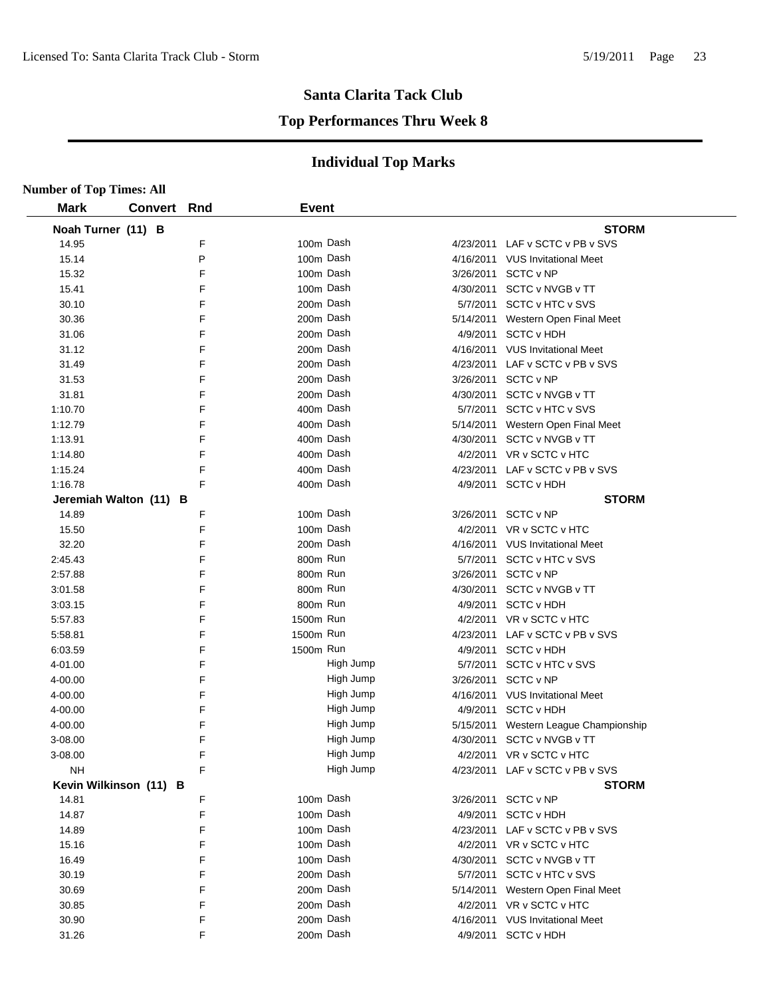#### **Top Performances Thru Week 8**

| <b>Number of Top Times: All</b> |             |        |              |                        |           |                                                             |
|---------------------------------|-------------|--------|--------------|------------------------|-----------|-------------------------------------------------------------|
| <b>Mark</b>                     | Convert Rnd |        | <b>Event</b> |                        |           |                                                             |
| Noah Turner (11) B              |             |        |              |                        |           | <b>STORM</b>                                                |
| 14.95                           |             | F      |              | 100m Dash              |           | 4/23/2011 LAF v SCTC v PB v SVS                             |
| 15.14                           |             | P      |              | 100m Dash              |           | 4/16/2011 VUS Invitational Meet                             |
| 15.32                           |             | F      |              | 100m Dash              |           | 3/26/2011 SCTC v NP                                         |
| 15.41                           |             | F      |              | 100m Dash              |           | 4/30/2011 SCTC v NVGB v TT                                  |
| 30.10                           |             | F      |              | 200m Dash              |           | 5/7/2011 SCTC v HTC v SVS                                   |
| 30.36                           |             | F      |              | 200m Dash              |           | 5/14/2011 Western Open Final Meet                           |
| 31.06                           |             | F      |              | 200m Dash              |           | 4/9/2011 SCTC v HDH                                         |
| 31.12                           |             | F      |              | 200m Dash              |           | 4/16/2011 VUS Invitational Meet                             |
| 31.49                           |             | F      |              | 200m Dash              |           | 4/23/2011 LAF v SCTC v PB v SVS                             |
| 31.53                           |             | F      |              | 200m Dash              |           | 3/26/2011 SCTC v NP                                         |
| 31.81                           |             | F      |              | 200m Dash              |           | 4/30/2011 SCTC v NVGB v TT                                  |
| 1:10.70                         |             | F      |              | 400m Dash              |           | 5/7/2011 SCTC v HTC v SVS                                   |
| 1:12.79                         |             | F      |              | 400m Dash              |           | 5/14/2011 Western Open Final Meet                           |
| 1:13.91                         |             | F      |              | 400m Dash              |           | 4/30/2011 SCTC v NVGB v TT                                  |
| 1:14.80                         |             | F      |              | 400m Dash              |           | 4/2/2011 VR v SCTC v HTC                                    |
| 1:15.24                         |             | F      |              | 400m Dash              |           | 4/23/2011 LAF v SCTC v PB v SVS                             |
| 1:16.78                         |             | F      |              | 400m Dash              |           | 4/9/2011 SCTC v HDH                                         |
| Jeremiah Walton (11) B          |             |        |              |                        |           | <b>STORM</b>                                                |
| 14.89                           |             | F      |              | 100m Dash              |           | 3/26/2011 SCTC v NP                                         |
| 15.50                           |             | F      |              | 100m Dash              |           | 4/2/2011 VR v SCTC v HTC                                    |
| 32.20                           |             | F      |              | 200m Dash              |           | 4/16/2011 VUS Invitational Meet                             |
| 2:45.43                         |             | F      | 800m Run     |                        |           | 5/7/2011 SCTC v HTC v SVS                                   |
| 2:57.88                         |             | F      | 800m Run     |                        |           | 3/26/2011 SCTC v NP                                         |
| 3:01.58                         |             | F      | 800m Run     |                        |           | 4/30/2011 SCTC v NVGB v TT                                  |
| 3:03.15                         |             | F      | 800m Run     |                        |           | 4/9/2011 SCTC v HDH                                         |
| 5:57.83                         |             | F      | 1500m Run    |                        |           | 4/2/2011 VR v SCTC v HTC                                    |
| 5:58.81                         |             | F      | 1500m Run    |                        |           | 4/23/2011 LAF v SCTC v PB v SVS                             |
| 6:03.59                         |             | F      | 1500m Run    |                        |           | 4/9/2011 SCTC v HDH                                         |
| 4-01.00                         |             | F      |              | High Jump              | 5/7/2011  | SCTC v HTC v SVS                                            |
| 4-00.00                         |             | F      |              | High Jump              | 3/26/2011 | SCTC v NP                                                   |
| 4-00.00                         |             | F      |              | High Jump              |           | 4/16/2011 VUS Invitational Meet                             |
| 4-00.00                         |             | F      |              | High Jump              |           | 4/9/2011 SCTC v HDH                                         |
| 4-00.00                         |             | F      |              | High Jump              | 5/15/2011 | Western League Championship                                 |
| 3-08.00                         |             | F      |              | High Jump              |           | 4/30/2011 SCTC v NVGB v TT                                  |
| 3-08.00                         |             | F      |              | High Jump              |           | 4/2/2011 VR v SCTC v HTC                                    |
| <b>NH</b>                       |             | F      |              | High Jump              |           | 4/23/2011 LAF v SCTC v PB v SVS                             |
| Kevin Wilkinson (11) B          |             |        |              |                        |           | <b>STORM</b>                                                |
| 14.81                           |             | F      |              | 100m Dash<br>100m Dash |           | 3/26/2011 SCTC v NP                                         |
| 14.87                           |             | F<br>F |              | 100m Dash              |           | 4/9/2011 SCTC v HDH                                         |
| 14.89                           |             |        |              |                        |           | 4/23/2011 LAF v SCTC v PB v SVS                             |
| 15.16                           |             | F<br>F |              | 100m Dash<br>100m Dash |           | 4/2/2011 VR v SCTC v HTC<br>4/30/2011 SCTC v NVGB v TT      |
| 16.49<br>30.19                  |             | F      |              | 200m Dash              |           | 5/7/2011 SCTC v HTC v SVS                                   |
| 30.69                           |             | F      |              | 200m Dash              |           | 5/14/2011 Western Open Final Meet                           |
|                                 |             | F      |              | 200m Dash              |           |                                                             |
| 30.85                           |             | F      |              | 200m Dash              |           | 4/2/2011 VR v SCTC v HTC<br>4/16/2011 VUS Invitational Meet |
| 30.90<br>31.26                  |             | F      |              | 200m Dash              |           | 4/9/2011 SCTC v HDH                                         |
|                                 |             |        |              |                        |           |                                                             |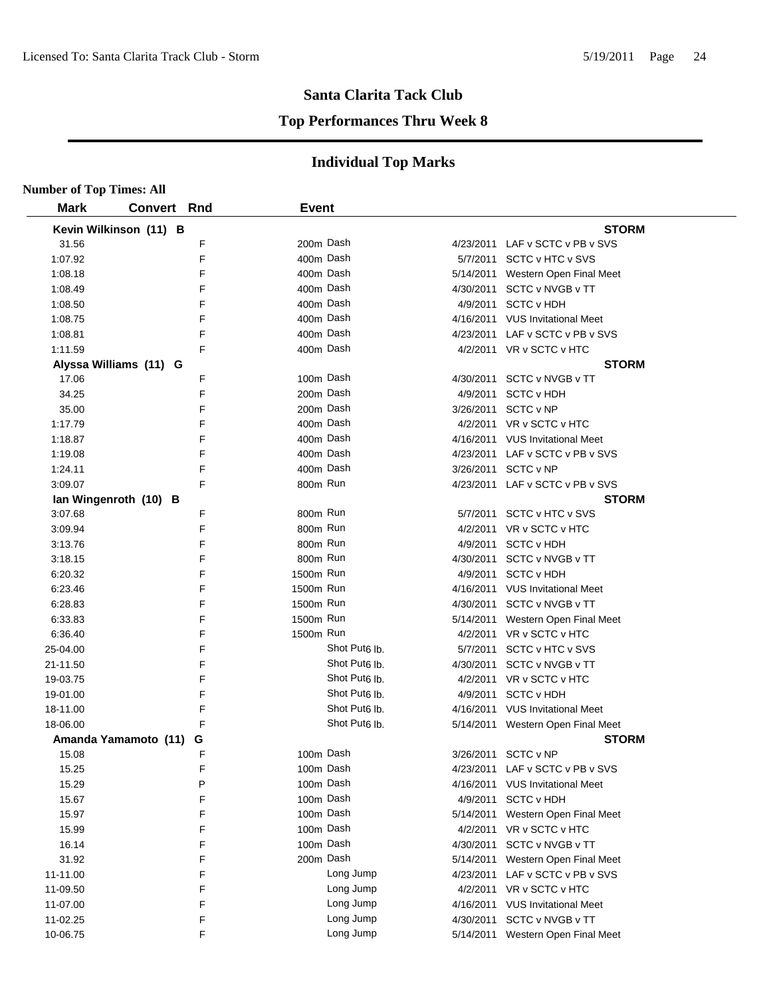#### **Top Performances Thru Week 8**

| <b>Number of Top Times: All</b> |                        |   |              |                           |           |                                   |  |
|---------------------------------|------------------------|---|--------------|---------------------------|-----------|-----------------------------------|--|
| <b>Mark</b>                     | <b>Convert Rnd</b>     |   | <b>Event</b> |                           |           |                                   |  |
|                                 | Kevin Wilkinson (11) B |   |              |                           |           | <b>STORM</b>                      |  |
| 31.56                           |                        | F | 200m Dash    |                           |           | 4/23/2011 LAF v SCTC v PB v SVS   |  |
| 1:07.92                         |                        | F | 400m Dash    |                           |           | 5/7/2011 SCTC v HTC v SVS         |  |
| 1:08.18                         |                        | F | 400m Dash    |                           |           | 5/14/2011 Western Open Final Meet |  |
| 1:08.49                         |                        | F | 400m Dash    |                           |           | 4/30/2011 SCTC v NVGB v TT        |  |
| 1:08.50                         |                        | F | 400m Dash    |                           |           | 4/9/2011 SCTC v HDH               |  |
| 1:08.75                         |                        | F | 400m Dash    |                           |           | 4/16/2011 VUS Invitational Meet   |  |
| 1:08.81                         |                        | F | 400m Dash    |                           |           | 4/23/2011 LAF v SCTC v PB v SVS   |  |
| 1:11.59                         |                        | F | 400m Dash    |                           |           | 4/2/2011 VR v SCTC v HTC          |  |
|                                 | Alyssa Williams (11) G |   |              |                           |           | <b>STORM</b>                      |  |
| 17.06                           |                        | F | 100m Dash    |                           |           | 4/30/2011 SCTC v NVGB v TT        |  |
| 34.25                           |                        | F | 200m Dash    |                           |           | 4/9/2011 SCTC v HDH               |  |
| 35.00                           |                        | F | 200m Dash    |                           |           | 3/26/2011 SCTC v NP               |  |
| 1:17.79                         |                        | F | 400m Dash    |                           |           | 4/2/2011 VR v SCTC v HTC          |  |
| 1:18.87                         |                        | F | 400m Dash    |                           |           | 4/16/2011 VUS Invitational Meet   |  |
| 1:19.08                         |                        | F | 400m Dash    |                           |           | 4/23/2011 LAF v SCTC v PB v SVS   |  |
| 1:24.11                         |                        | F | 400m Dash    |                           |           | 3/26/2011 SCTC v NP               |  |
| 3:09.07                         |                        | F | 800m Run     |                           |           | 4/23/2011 LAF v SCTC v PB v SVS   |  |
|                                 | Ian Wingenroth (10) B  |   |              |                           |           | <b>STORM</b>                      |  |
| 3:07.68                         |                        | F | 800m Run     |                           |           | 5/7/2011 SCTC v HTC v SVS         |  |
| 3:09.94                         |                        | F | 800m Run     |                           |           | 4/2/2011 VR v SCTC v HTC          |  |
| 3:13.76                         |                        | F | 800m Run     |                           | 4/9/2011  | <b>SCTC v HDH</b>                 |  |
| 3:18.15                         |                        | F | 800m Run     |                           | 4/30/2011 | SCTC v NVGB v TT                  |  |
| 6:20.32                         |                        | F | 1500m Run    |                           |           | 4/9/2011 SCTC v HDH               |  |
| 6:23.46                         |                        | F | 1500m Run    |                           |           | 4/16/2011 VUS Invitational Meet   |  |
| 6:28.83                         |                        | F | 1500m Run    |                           |           | 4/30/2011 SCTC v NVGB v TT        |  |
| 6:33.83                         |                        | F | 1500m Run    |                           |           | 5/14/2011 Western Open Final Meet |  |
| 6:36.40                         |                        | F | 1500m Run    |                           |           | 4/2/2011 VR v SCTC v HTC          |  |
| 25-04.00                        |                        | F |              | Shot Put <sub>6</sub> lb. |           | 5/7/2011 SCTC v HTC v SVS         |  |
| 21-11.50                        |                        | F |              | Shot Put <sub>6</sub> lb. |           | 4/30/2011 SCTC v NVGB v TT        |  |
| 19-03.75                        |                        | F |              | Shot Put <sub>6</sub> lb. |           | 4/2/2011 VR v SCTC v HTC          |  |
| 19-01.00                        |                        | F |              | Shot Put <sub>6</sub> lb. |           | 4/9/2011 SCTC v HDH               |  |
| 18-11.00                        |                        | F |              | Shot Put <sub>6</sub> lb. |           | 4/16/2011 VUS Invitational Meet   |  |
| 18-06.00                        |                        | F |              | Shot Put <sub>6</sub> lb. |           | 5/14/2011 Western Open Final Meet |  |
|                                 | Amanda Yamamoto (11) G |   |              |                           |           | <b>STORM</b>                      |  |
| 15.08                           |                        | F | 100m Dash    |                           |           | 3/26/2011 SCTC v NP               |  |
| 15.25                           |                        | F | 100m Dash    |                           |           | 4/23/2011 LAF v SCTC v PB v SVS   |  |
| 15.29                           |                        | P | 100m Dash    |                           |           | 4/16/2011 VUS Invitational Meet   |  |
| 15.67                           |                        | F | 100m Dash    |                           |           | 4/9/2011 SCTC v HDH               |  |
| 15.97                           |                        | F | 100m Dash    |                           |           | 5/14/2011 Western Open Final Meet |  |
| 15.99                           |                        | F | 100m Dash    |                           |           | 4/2/2011 VR v SCTC v HTC          |  |
| 16.14                           |                        | F | 100m Dash    |                           |           | 4/30/2011 SCTC v NVGB v TT        |  |
| 31.92                           |                        | F | 200m Dash    |                           |           | 5/14/2011 Western Open Final Meet |  |
| 11-11.00                        |                        | F |              | Long Jump                 |           | 4/23/2011 LAF v SCTC v PB v SVS   |  |
| 11-09.50                        |                        | F |              | Long Jump                 |           | 4/2/2011 VR v SCTC v HTC          |  |
| 11-07.00                        |                        | F |              | Long Jump                 |           | 4/16/2011 VUS Invitational Meet   |  |
| 11-02.25                        |                        | F |              | Long Jump                 |           | 4/30/2011 SCTC v NVGB v TT        |  |
| 10-06.75                        |                        | F |              | Long Jump                 |           | 5/14/2011 Western Open Final Meet |  |